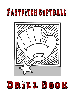# FASTPITCH SOFTBALL



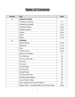# **Table of Contents**

| <b>Section</b> | <b>Title</b>                                            | Page      |
|----------------|---------------------------------------------------------|-----------|
| 1              | <b>Defensive Drills</b>                                 |           |
|                | Throwing & Catching                                     | $4 - 7$   |
|                | <b>Fielding Ground Balls</b>                            | $7 - 15$  |
|                | <b>Catching Fly Balls</b>                               | $16 - 21$ |
|                | <b>Outfield Positions</b>                               | $21 - 29$ |
|                | Catcher                                                 | 29-34     |
|                | Infield                                                 | 34-37     |
|                | Pitcher                                                 | 37-38     |
| $\mathbf{2}$   | <b>Pitching</b>                                         |           |
|                | <b>Mental Aspects</b>                                   | 39-40     |
|                | <b>Mechanics</b>                                        | $41 - 42$ |
|                | <b>Drills</b>                                           | 43-44     |
|                | <b>Common Errors</b>                                    | 45-46     |
|                | <b>Mechanics Checklist</b>                              | 47        |
|                | The Peel Drop                                           | 48        |
|                | The Turn Over Drop                                      | 49        |
|                | The Rise                                                | 50        |
|                | The Curve                                               | 51        |
|                | The Off Speed                                           | 52        |
|                | The Pitch Out                                           | 53        |
|                | <b>Calling Pitches</b>                                  | 54        |
|                | Pre Game Warm Up                                        | 55        |
|                | <b>Fielding Responsibilities</b>                        | 56        |
|                | Use of Charts & Stats                                   | 57        |
|                | Video Taping & the Use of the Mound                     | 58        |
|                | Special Article - Searching Within for the Real Pitcher | 59-60     |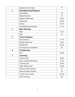|                | Dealing with the Umpire           | 61        |
|----------------|-----------------------------------|-----------|
| 3              | <b>Hitting/Bunting/Slapping</b>   |           |
|                | <b>Hitting Basics</b>             | 62        |
|                | <b>Hitting Mechanics</b>          | 63        |
|                | <b>Hitting Fundamentals</b>       | 64-65     |
|                | <b>Hitting Drills</b>             | 66-68     |
|                | <b>Bunting</b>                    | 69-70     |
|                | Left Handed Running Slap          | $71 - 72$ |
| 4              | <b>Base Running</b>               |           |
|                | <b>Skills</b>                     | 73-75     |
|                | <b>Drills</b>                     | 76        |
| 5              | <b>Team Strategies</b>            |           |
|                | <b>Bunt Defenses</b>              | 77-78     |
|                | <b>Outfield Game Plan</b>         | 79-81     |
|                | <b>Outfield Play</b>              | 82-83     |
|                | Key Points for all Outfielders    | 84        |
| 6              | <b>Conditioning</b>               |           |
|                | <b>Drills</b>                     | 85-88     |
| $\overline{7}$ | <b>Coaching</b>                   |           |
|                | <b>Practice Plans</b>             | 89-90     |
|                | <b>Basic Coaching Information</b> | 91-92     |
|                | <b>Coaching Tips</b>              | 93-94     |
|                | "Ideal" Batting Order             | 95-96     |
|                | <b>Offensive Skills Checklist</b> | 97        |
|                | <b>Defensive Skills Checklist</b> | 98        |
|                | <b>Coaches Score Cards</b>        | 99-101    |
|                | <b>Game Summary</b>               | 102       |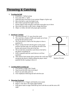# **Throwing & Catching**

# **1. Tracking the Ball**

- a. In partners, 1 ball per group
- b. Face each other, 2' apart
- c. Hold ball above the head of your partner (fingers of glove up)
- d. Move the ball to waist level (glove up)
- e. Move ball to ground level (glove down)
- f. Partner follows ball with glove and hand; turns glove up or down
- g. Move ball from side to side; faster; change directions
- h. Object: to follow the ball with proper glove position

#### **2. Quadrant Catching**

- a. The team lines up 5'-8' away from the coach
- b. The coach has a basket of balls and stands out in front facing the first person in line
- c. The coach throws a ball to the first player in line to quadrant #1
- d. Player catches the ball with the glove in the proper position and then jogs over and drops the ball in the bucket and returns to the end of the line
- e. The second time around the coach throws the ball to the player in quadrant #2
- f. Drill is repeated until the coach throws to all four quadrants
- g. After players learn proper glove position the coach may begin mixing up the throws without telling the player which quadrant he/she is going to throw to





#### **3. Catching Ball (warming up)**

- a. Give partner a target with 2 hands
- b. Step toward the ball when receiving it
- c. Reach out and softly pull it in
- d. Over emphasize following the ball with the eyes

#### **4. Throwing Overhand**

- a. Grip ball w/2 or 3 fingers and thumb across seams
- b. Begin w/ left side to the target (right handed)
- c. Point glove hand at target; hold ball up level with the ear and the arm at 90 angle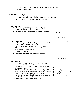d. Pull glove hand down toward thigh, rotating shoulders and snapping the wrist as the ball is thrown

#### **5. Throwing with Football**

- a. Use a football to emphasize the proper throwing mechanics
- b. If the ball is thrown overhand correctly, the ball will spiral not wobble
- c. This is a fun change of pace when working on throwing

#### **6. Reaching Out**

- a. Place a ball approximately 3' in front of each player
- b. Step Hop, reach out and pull the ball in
- c. This helps develop soft hands and the concept of reaching out





# **7. Four Corner Throwing**

- a. 4 players per group with 1 ball (keep extra balls near the drill in case the ball is thrown past a player)
- b. Players form a square, use 4 cones to set the boundaries
- c. Throw ball clockwise, players must turn body correctly to throw the ball towards their left
- d. Stress good footwork
- e. Change direction, again stressing correct footwork



*"Four Corner Throwing"*

# **8. Box Throwing**

- a. Allows infielders to practice covering their bases and receiving the ball for tags and forces
- b. 1B  $\&$  3B are at their bases, while SS, 2B  $\&$  C are at their defensive positions
- c. The C throws the ball to 1B, the 1B throws to 3B, the 3B throws to 2nd w/ the 2B covering the base, & the 2B throws to the C. The C throws the ball back to  $2<sup>nd</sup>$  w/ the SS covering, the SS throws the ball to 1B, the 1B throws to 3B and the 3B throws it back to the catcher

**Variation:** SS & 2B switch places in the rotation

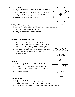#### **9. Circle Throwing**

- a. Players form a circle  $w/1$  player in the center of the circle  $w/a$ ball
- b. On a signal, the player in the center throws to a designated player who immediately throws back to the center
- c. Continue until the ball has been thrown to everyone

**Variation:** If the ball is dropped the group must start over

#### **10. Quick Throws**

- a. In partners w/ 1 ball after warming up arms
- b. On signal, count the number of times each pair can successfully throw back and forth within a certain time limit
- c. Start with 30 sec, then 45 sec, then 1 minute
- d. Excellent conditioner!

#### **11. "Z" Drill (Quick Release/Accuracy)**

- a. Players form two lines facing each other 15-20 feet apart
- b. The coach flips a ball to the first player. That player throws to the player across from them. That player immediately throws to the next player in the line across from them
- c. After the ball is flipped by the coach, another is introduced immediately, this continues for a designated time, or until the ball is dropped



*"Z Drill (Quick Release/Accuracy)"*

# **12. The Star**

- a. 5 players per group w/ 2 balls (start w/ incrediball)
- b. Start w/ 1 ball: throw to every other player to form a star
- c. Stress catching the ball in front w/ the left foot (right handed player), then hop right and step left to make the throw
- d.  $2<sup>nd</sup>$  ball can be added



*"Star Throwing"*

#### **13. Rundown Shuttle**

- a. 5 players per group w/ 1 ball
- b. 3 players line up in a single file line with a ball
- c. 2 players line up approximately 25' away in a single file line
- d. On the signal, the first player w/ the ball holds the it up and runs as fast as she can towards her teammate



*"Circle Throwing"*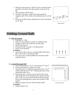- e. When her team mate says "NOW" she uses a dart-like throw and follows the ball to the right and goes to the end of the line
- f. The next player repeats above
- g. The player must give a target for the ball outside the imaginary path of the runner and immediately gets out of the way
- h. Each time the drill is done, gradually move back until players are 40' apart



*"Rundown Shuttle"*

# **Fielding Ground Balls**

# **14. Pick Up (4 parts)**

- a. In partners w/ 1 ball
- b. Roll 20-25 ground balls to partner of 4 different types
- c. Straight on, glove side, hand side and short hops
- d. Switch after each set
- e. Roll ground balls to partner w/ bowling motion
- f. Stress correct footwork

# **Variations:**

- Same drill as above, but use a wooden paddle rather than a glove- this works on having soft hands
- If you don't have wooden paddles have the players field using their gloves



*"Pick Up (4 Parts)"*

# **15. Lateral Movement Drill**

- a. Place 6 balls between  $1^{st}$  &  $2^{nd}$ , and 6 between  $2^{nd}$  and  $3^{rd}$
- b. Can be preformed by 3-6 players at a time
- c. One group starts in a defensive position between  $1^{st}$  &  $2^{nd}$ and the other between  $2<sup>nd</sup>$  &  $3<sup>rd</sup>$ . Both groups start in front and between balls 3 & 4
- d. Each group uses a crossover step to the first ball on the right & jogs back to the starting position, pauses and then uses a cross-over step to the first ball on the left and jogs back to the starting position, pauses and continues in this manner
- e. Make sure players stay low while moving to balls

# **Variations:**

8 Balls instead of six



*"Lateral Movement Drill"*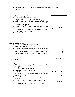• Roll or hit the balls using cones as targets instead of starting w/ the balls stationary

#### **16. Underhand Toss/ Egg Rolls**

- a. In partners  $w/2$  balls approx 3' away
- b. Player w/ balls rolls  $1<sup>st</sup>$  ball to fielders right
- c. Fielder slides over w/ glove down, picks up ball w/ her glove and hand, splits hands apart and straight-arms the ball back to her partner
- d. As soon as the  $1^{st}$  ball is picked up the  $2^{nd}$  ball is rolled out to her left
- e. Stress correct mechanics for the underhand toss including good footwork (hop right, step left & toss)
- f. Great Conditioner!



*"Underhand Toss/ Egg Rolls*

#### **17. Running Line Drives**

- a. Team lines up 10'-15' away from wall
- b. Coach has a bucket of balls and stands 20' away
- c. When the coach holds the ball up, the  $1<sup>st</sup>$  player sprints across
- d. Coach throws a leading line drive, player catches it on the run and jogs to the end of the line by way of the bucket



*"Running Line Drives"*

#### **18. Wall Drills**

#### Drill 1

- a. When the field is too wet, workout on the asphalt or in the gym
- b. Divide the team into 5-6 groups
- c. Stand 7 to 10' away from the wall
- d.  $1<sup>st</sup>$  &  $2<sup>nd</sup>$  players in each line have balls
- e. On the signal the player throws the ball against the wall as fast as possible
- f. If the ball is missed, the  $2<sup>nd</sup>$  player in line gives her the other ball
- g. Second player in line counts completed attempts in 30-60 seconds
- h. Stress correct footwork and throwing mechanics



*"Wall Drill - 1"*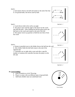# Drill 2

a. Each player throws one ball and rotates to the end of her line

b. Use ground balls, line drives and fly balls

# Drill 3

a. Coach throws ball at the wall at an angle

b. The player must read the angle of the throw by the coach and field the ball c. After fielding the ball the player gives the ball back to the coach and rotates to the end of the line d. Next player moves up quickly to field the next throw from the coach



*"Wall Drill - 2"*



*"Wall Drill - 3"*

#### Drill 4

a. Partner (controller) next to the fielder throws the ball into the wall b. After fielder fields the ball both rotate to the end of the

opposite line

c. Controllers are on right side to start and after a specific number of rotations the controller becomes the player on the left side



*"Wall Drill - 4"*

# **19. Circle Fielding**

- a. Same formation as circle Throwing
- b. Player in center rolls out different types of ground balls
- c. Add bunts (fielder must use underhand toss)



*"Circle Fielding"*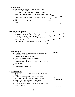#### **20. Running Fungo**

- a. Players line up at home w/ their glove and a ball
- b. Coach stands on  $3<sup>rd</sup>$  base side
- c.  $1<sup>st</sup>$  player runs towards  $1<sup>st</sup>$  base and rounds the bag
- d. Just before the player rounds  $1<sup>st</sup>$  the coach hits a ground ball towards  $2<sup>nd</sup>$  base
- e. The player must turn quickly and field the ball on the run
- f. Players run around the infield and return to the line





#### **21. Two Line Running Fungo**

- a. Same as "Running Fungo" except coaches are on 3rd base side of home, and the  $1<sup>st</sup>$  base side of  $2<sup>nd</sup>$
- b. Two lines of players are at home and  $2<sup>nd</sup>$
- c. On the signal both players run towards  $1^{st}$  &  $3^{rd}$  at the same time
- d. They field the ball and run to the end of the opposite line



*"Two Line Running Fungo"*

#### **22. Coaches Fungo**

- a. Coaches or players stand in front of three lines w/ bucket of balls and a catcher
- b. Players line up in a single file line
- c. Coach has one ball catcher has one ball
- d. Coach hits to first player in each line three times
- e. Fielder throws  $1^{st}$  &  $2^{nd}$  balls to catcher, and carries in the 3rd ball
- f. Catcher rotates to the end of the next line
- g. Fielder is now the catcher

# **23. Arm Saver Fungo**

- a. 4 Players per group- 2 hitters, 2 fielders, 2 buckets of balls
- b. Hitters line up diagonally across from each other
- c. On signal both hitters hit ground balls to fielders
- d. Fielders field balls and place them in the bucket
- e. Hitter takes ball from bucket and continue to hit
- f. Use this drill when players have done a lot of drills that involve throwing



*"Coaches Fungo"*



*"Arm Saver Fungo"*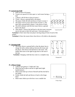#### **24. Lateral Line Drill**

- a. Drill can have 6-8 tossers
- b. Tossers are spaced 8-10 feet apart w/ each tosser having a ball
- c. 1 player is 40-50 feet in front of tosser 1
- d. Tosser 1 throws a ground ball to the player
- e. The player fields the ball and throws it back to tosser 1
- f. The player moves across and in front of tosser 2, who then rolls a ground ball to player 1 who throws it back
- g. The drill continues until the last tosser throws a ground ball to the player
- h. After player 1 throws the ball back to the last tosser everyone moves one spot to their left and tosser 1 becomes player 1

**Variation 1:** Have more than one player moving along in front of each of the tossers

**Variation 2:** Have the tossers throw line drives or fly balls to the player(s)

#### **25. Charging Drill**

**26. 2 Player Fungo**

handed player)

the fielder

hitter

a. The tosser throws a ground ball so that the player has to charge the ball at about midway between the tosser and the player, then throws the ball back to the tosser. The fielder then turns to the right  $\&$  jogs back to the end of the line

**Variation:** Charging a ball that has come to a complete stop

a. 2 players per group w/ 2 balls and 1 bat

b. Hitter has ball in glove and bat in right hand (right

d. Fielder fields the ball and throws it back to the fungo

e. Hitter must choke up on the bat or use a smaller bat





*"Lateral Line Drill"*

*"Charging Drill"*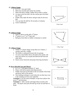#### **27. 3 Player Fungo**

- a. In  $3's \le 1$  bat and 6 balls
- b. Hitter has one ball and catcher has another
- c. Hitter hits ball to fielder, fielder throws ball to catcher
- d. As soon as the first ball is hit the catcher gives the hitter the  $2^{nd}$  ball
- e. Fielder must make the throw and get ready for the next ball
- f. You can time the drill for 30 seconds to 4 minutes

a. Same as above except add a  $4<sup>th</sup>$  player b.  $4^{\text{th}}$  player is at  $1^{\text{st}}$  or  $3^{\text{rd}}$  base side

g. Great Conditioner!



*"3 Player Fungo"*



*"4 Player Fungo"*

#### **29. 5 Player Fungo**

**28. 4 Player Fungo**

a. Similar to 3 player fungo except there are 2 hitters, 2 catchers and only 1 fielder

c. Ball goes from hitter to fielder to baseman to catcher

- b. The fielder is stationed between the two groups
- c. As soon as the fielder throws the ball to the catcher, she must turn all the way around and field the ball from the other hitter
- d. Stress correct footwork and proper throwing mechanics

# **30. Do or Die Pick Ups and Throws**

- a. In 2's w/ 1 ball approximately 25' apart
- b. Player rolls ball to partner (bowling motion)
- c. Fielder must pick up the ball on the run outside of her body and throw back to her partner
- d. This fielding technique is used when the run that may score is the winning run from your opponent

**Variation 1**: Use the same technique, except have players line up at  $2^{nd}$  and shortstop

**Variation 2**: Add a catcher and fungo hitter (coach) at the plate. The player must pick the ball up on the run and throw it home

*"5 Player Fungo"*

 $H \bullet_{\bullet}$   $H$ F  $X \triangle^{N}$   $X$ 



*"Do or Die Pick Ups and Throws"*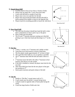#### **31. Knock Down Drill**

- a. Coaches stand in front of two lines w/ bucket of balls
- b. Players line up single file 5' away from each other
- c. Coach rolls ball hard to outside of each line
- d. Player must cross over and dive for the ball
- e. Player must jog towards the basket and drop the ball in before going up the middle to return to the opposite line
- f. Players must do everything possible to knock the ball down



*"Knock Down Drill"*

#### **32. Bare Hand Drill**

- a. The only time the player should bare hand the ball is when there is absolutely no time to pick it up w/ the glove
- b. Place 6 balls near the pitcher
- c. The SS and  $3<sup>rd</sup>$  baseman alternate running up to that ball, picking it up w/ their bare hand and throwing it to  $1<sup>st</sup>$  on the run



*"Bare Hand Drill"*

#### **33. Hot Box**

- a. 1 hitter, 1 catcher, two  $1<sup>st</sup>$  basemen and a fielder at third
- b. Team lines up in foul territory in front of third base
- c. The first player stands approximately 10' in front of third
- d. The coach hits three balls in a row as quickly as possible  $x x x \mid x$
- e. The  $3<sup>rd</sup>$  baseman must field the ball and make a throw to 1 st
- f.  $1<sup>st</sup>$  baseman tosses the ball to the other  $1<sup>st</sup>$  baseman in foul territory who throws it to the catcher
- g. If the ball is fumbled or missed, the player must look for the next ball
- h. After three balls have been hit the next player in line gets into position at 3rd
- i. Stress quick reactions and quick release of the ball

#### **34. The Pit**

- a. Similar to "Hot Box" except teams work in 2's
- b. Coach stands near the pitcher's mound facing home
- c. 2 players stand on opposite sides of home plate facing the coach
- d. Coach has large bucket of balls and a bat



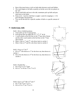- e. Rest of the team forms a circle on both sides between coach and fielders
- f. The coach begins to hit balls as quickly as he/she can to the two players in the "pit"
- g. Players field balls and toss to the side, teammates pick up balls and pass them back to the feeder
- h. Keep score: 2 pts for a ball that is caught; 1 point for stopping it; -1 if it goes through to the backstop
- i. You can do this drill for a specific number of balls or a specific amount of time

#### **35. Double Fungo- Skills**

Drill 1: Hit to 4 Infield positions

- a. Team splits up into 4 equal groups
- b. Each group lines up single file at  $1<sup>st</sup>$ ,  $2<sup>nd</sup>$ ,  $3<sup>rd</sup>$  & SS
- c. 1 coach stands on the foul line on the  $3<sup>rd</sup>$  base side of home and the other coach stands on the foul line on the  $1<sup>st</sup>$  base side of home
- d. Hitter 1 hits to  $1<sup>st</sup>$  and  $2<sup>nd</sup>$ , who throw back to catcher 1
- e. Hitter 2 hits to  $3<sup>rd</sup>$  and SS, who throw back to catcher 2

Drill 2: Force at  $1^{\text{st}}$  &  $3^{\text{rd}}$ 

a. H1 to  $2^{nd}$  who throws to  $1^{st}$  for the force out, then throws to catcher 1

b. H2 to SS who throws to  $3<sup>rd</sup>$  for the force out, then throws to catcher 2



*"Double Fungo - 1"*

X X X X

X X

 $H2$  X2

X X

X X

X

H1 X1



Drill 3: Double Play

- a. H1 to P to C1 to  $3^{rd}$  base
- b. H2 to  $2^{nd}$  to SS (at  $2^{nd}$ ) to  $1^{st}$  to C2

Drill 4: Force at  $3^{\text{rd}}$  DP at  $2^{\text{nd}}$  and  $1^{\text{st}}$ a. H1  $2^{nd}$  (at  $2^{nd}$ ) to  $1^{st}$  to C1 b. H2 to LF to  $3^{\text{rd}}$  (at  $3^{\text{rd}}$ ) to C2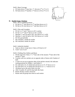Drill 5: Bunt Coverage

- a. H1 bunts down  $1^{\text{st}}$  base line-  $1^{\text{st}}$  throwsto  $2^{\text{nd}}$  at  $1^{\text{st}}$  to C1
- b. H2 bunts down  $3^{\text{rd}}$  baseline-  $3^{\text{rd}}$  throws to SS at  $3^{\text{rd}}$  to C2



#### **36. Double Fungo- Positions**

Drill 1: Hit to 4 Infield positions

- a. H1 hits to  $2^{nd}$  who throws to  $3^{rd}$  and then throws to C1
- b. H2 hits to SS who throws to  $1<sup>st</sup>$  and then throws to C2

Drill 2: Flies and Grounders

- a. H1 hit's to  $1<sup>st</sup>$  and  $1<sup>st</sup>$  throws to H1's catcher
- b. H1 hit's to  $2<sup>nd</sup>$  and  $2<sup>nd</sup>$  throws to H1's catcher
- c. Machine 1- easy fly ball to SS1, SS1 throws to C at M1
- d. Machine 2- easy fly ball to SS2, SS2 throws to C at M2
- e. H1=hits ground balls
- f. M1=machine 1=feeder & catcher
- g. M2=machine2=feeder & catcher

#### Drill 3: Infield & Outfield

- a. Same as above except move 2 lines at SS back to LF
- b. Catch "can of corn"

Drill 4: Fielding Slow Rollers and Bunts

- a. Divide team into 4 lines;  $1^{st}$ ,  $1^{st}$  base side of the mound,  $3^{rd}$  base side of the mound,  $3<sup>rd</sup>$  base
- b. Coaches with two catchers are on opposite sides of home with 2 baskets of balls
- c. 2 cones are set up on opposite sides of the pitchers mound, this indicates starting positions for fielders 1 and fielders 2
- d. H1 rolls ball to F1, F1 fields ball and throws to  $3<sup>rd</sup>$ ,  $3<sup>rd</sup>$  throws to C1
- e. H2 rolls ball to F2, F2 fields ball and throws to  $1<sup>st</sup>$ ,  $1<sup>st</sup>$  throws to C2
- f. All players go to the end of their own line
- g. After 4 rounds, H1 and H2 drop balls like bunts
- h. Rotate all lines counter clockwise
- i. Rotate until all groups have been at each station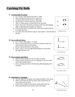# **Catching Fly Balls**

# **37. Tracking Balls Overhead**

- a. In 2's (with 1 ball) facing each other 2' apart
- b. Player holding ball does not have a glove on
- c. On signal, player holds ball up w/ right hand
- d. Partner steps w/ left foot and runs to her left
- e. After 4-5 steps partner switches ball in her left hand
- f. Player opens up to the ball by pivoting on left foot and stepping right w/ right foot and continues to run back
- g. Each time the ball is switched to the other hand, player opens up to change directions
- *"Tracking Balls Overhead"* h. At no time does the defensive player "back pedal" or turn her back to the ball

#### **38. Toss to Self and Throw**

- a. In 2's (with 1 ball) approx. 35' apart
- b. Player with the ball tosses it up in front of herself, makes the catch and then throws to her partner
- c. Partner repeats drill back to her partner
- d. Stress: step w/ left foot (right handed player) on catch then hop right and throw left



x ` ...........<del>.</del> x X X

*"Toss to Self and Throw"*

#### **39. Toss to partner and Throw**

- a. Same as above except toss easy fly balls to partner
- b. Partner catches the ball on the run; stepping w/ left foot on the catch (right handed player)
- c. Stress: catching the ball on the throwing side and getting rid of it quickly



*"Toss to Partner and Throw"*

# **40. Going Back w/ Variations**

- a. Line up single file facing the coach (approximately 5 feet away)
- b. When coach holds the ball up, player steps with left foot at sharp angle and runs back
- c. Coach tosses a high fly ball; player catches ball on the run
- d. Player jogs behind coach and puts ball in the basket

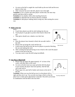e. As soon as the ball is caught the coach holds up the next ball and the next player in line runs

f. After everyone has run to the left, players run to the right

**Variation 1:** Use a catcher and when player catches ball, she must stop quickly and throw ball to catcher

**Variation 2:** Use shallow drills when teaching footwork

**Variation 3:** Add balls that are thrown directly overhead

**Variation 4:** Add players making initial wrong turn, then turning the correct way

# **41. Balls in the Sun**

#### Drill 1

- a. Coach lines players up side by side looking into the sun
- b. Teach players to get glove up above their head to block the sun
- c. Their glove should cast a shadow over their face

Drill 2

- a. Once the players have learned to block the sun add a ball to the drill
- b. Players line up facing the coach and the sun
- c. Coach tosses the ball up into the sun for players to practice blocking the sun and making the catch
- d. After catching the ball and having to toss it back to the coach the player rotates to the end of the line
- e. You may want to start the drill using incrediballs

# **42. One Player Blind Drill**

- a. Players line up single file approximately 10' in front of the coach, with their back to the coach
- b. As soon as he/she tosses up a pop up he/she tells the player to turn around, the player must turn quickly, find the ball, call it and catch it
- c. Player jogs over, puts ball in basket and returns to the end of the line

**Variation:** When you toss the ball up toss it to the players left or right and then mix it up. You can also toss long or short so that the

player has to make quick adjustments to the ball. This drill can be done in combination with the Ball in the Sun Drill







*"Ball in the Sun"*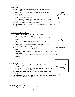#### **43. Blind Drill**

- a. In two single file lines, fielders line up with their backs to the coach 10-15' away from each other
- b. Coach says "Go" and players run away from the coach in a straight line
- c. When the coach says "Turn" both players turn towards the middle and look for the ball
- d. One player calls "Mine" and catches the ball while the other player says "Take it" and backs her up
- e. Both players jog back through the middle
- f. Players switch lines and the next two players go when the coach says "Go"

# **44. Football Pass Without Glove**

- a. Players line up in a single file line next to the coach
- b. Each player has an incrediball
- c. When the player gets to the front of the line she gives the ball to the coach
- d. The player then jogs out and turns to the left looking for the ball
- e. The player calls for the ball catches it with two hands and returns to the end of the line
- f. After a couple of rounds the player jogs out and turns to the right
- g. Players must catch the ball with their hands and can not trap it against their bodies
- h. Works on hand-eye coordination, soft hands and catching the ball with two hands

# **45 Quarterback Drill**

- a. Players line up in single file approx. 5' in front of the coach facing away
- b. On the signal the player sprints straight out away from the coach
- c. Coach says "right" or "left" and then throws it in that direction
- d. Player must sprint after the ball, then jog in and return it to the basket

**Variation:** Coach says "stop" and the player must stop and immediately turn around in a different direction

# **46. Sliding Under the Ball**

a. Players line up in single file approx. 20' away from coach



*"Blind Drill"*





x x x C X

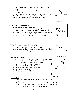- b. When coach holds ball up, players sprint towards marker (cone)
- c. Just before player reaches the cone the coach tosses a low ball just out of her reach

d. Player must slide feet first under the ball and make the catch **Variation:** Player must get up and throw the ball home **Note:** Follow teaching progression for feet first sliding

# **47. Long/ Short/ Short Drill- LS2**

- a. Players line up next to the coach
- b. One at a time the coach tosses a long fly ball and the player runs out and makes the catch-throws to  $2<sup>nd</sup>$  player in line
- c. As soon as she throws the ball in, the coach tosses a  $2^{nd}$  ball in front of her- throw back; then another short
- d. Each player catches 3, then rotates to the end of the line



*"Slide Under Ball For Catch"*



*"Long/Short/Short – AKA LS<sup>2</sup>"*

# **48. Communication Drill on Bloopers- IF/OF**

- a. 2 Lines approximately. 30' apart (SS & LF)
- b. A ball is thrown by coach in between the two lines
- c. IF goes back as the OF comes in-OF calls "Mine" or "Take It"
- d. Rotate to the end of the opposite line

# **49. Three Way Bloopers**

- a. 3 Lines- SS,  $2<sup>nd</sup>$ , CF (use cones to designate starting positions)
- b. Coach stands at mound with a basket of balls. The coach throws, hits or uses a machine for bloop fly balls
- c. The ball must land between the 3 players
- d. CF must call "Mine" or "take it"
- e. SS and  $2<sup>nd</sup>$  can also call "mine" or "take it"
- f. Players throw ball to catcher
- g. CF has precedent; then SS; then  $2<sup>nd</sup>$





*"Three Way Bloopers"*

# **50. Fly Ball Drill**

- a. 1 tosser and 1 player per group (you can have as many groups as you desire)
- b. Player starts 90' away from tosser. Tosser throws a ball around 75' where the player must run up to catch or retrieve the ball. The player then throws the ball back to the tosser and runs back to the starting position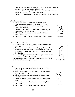- c. The drill continues in the same manner w/ the tosser throwing the ball to about 60', then 45' and then 30' and finally 15'
- d. Each time after catching the ball the player throws the ball back to the tosser and then runs back to the starting position
- e. This drill can be used as a conditioning drill and it is a good indoor drill

#### **51. Box Communication**

- a. Set-up four cones in a square box about 6 feet apart
- b. Two players stand inside the four corners of the cones
- c. The coach or tosser throws balls consecutively to different areas within the cones
- d. Players must communicate to see how many balls they can catch out of the 10 balls thrown
- e. The tosser doesn't wait for them to catch the ball before tossing the next one
- f. The players toss the balls outside the box area after catching each one

#### **52. Over the Shoulder Catch**

- a. You must have 4 or more players in each line & each player must have a ball
- b. Tosser stands on left side of player. The player hands the ball to the tosser and then runs out. The tosser leads the player with a fly ball so the player has to reach to catch the ball over her left shoulder
- c. After catching and retrieving the ball the player turns to the left and jogs back to the end of the line

**Variation:** Tosser stands on the right side of the player & throws the ball over the player's right shoulder



X



*"Over the Shoulder Catch"*

# **53. LSLS**

- a. Players line up single file-  $1<sup>st</sup>$  player faces coach;  $2<sup>nd</sup>$  player is the catcher
- b. Coach holds up ball-  $1<sup>st</sup>$  player pivots on right foot; takes a big step with her left foot
- c. Player runs at a 45 degree angle; coach throws ball in air over her head
- d. Player catches ball; plants back foot; throws to next player in line
- e. As soon as she throws the ball, coach tosses an easy ball in front of her
- f. Player makes the catch tosses underhand to catcher



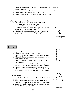- g. Player immediately begins to run at a 45 degree angle; coach throws the ball over her head
- h. As soon as she throws the ball the coach tosses a short ball in front
- i. Player makes catch, tosses under hand to catcher
- j. Fielder goes to the end of the line and catcher becomes the fielder

#### **54. Playing the Angles in the Outfield**

- a. Line up 6 cones in the outfield about 10 feet apart
- b. Have player line up in center of 6 cones
- c. On the coach's command "Go" the ball is thrown in the direction of one of the 6 cones. The player has to run in the direction of the cone and catch the ball.
- d. The drill will allow the outfielders to get the feel for the proper angles necessary for catching the fly balls



*"Playing the Angles in the Outfield"*

# **Outfield**

# **1. Rounding the Ball**

- a. All outfielders line up in a single file line
- b. The coach hits a ground ball out away from the outfielder
- c. The outfielder must sprint out around the cone and get her body in front of the ball
- d. The outfielder fields the ball and throws it back to the coach's catcher
- e. Use the cones to teach outfielders that they must go around the ball to field it, rather than trying to go straight across
- f. The ball will get past the outfielder if she tries to cut it off
- g. Move outfielders and cone to the other side so they can field ground balls to their glove side as well as their hand side

# **2. 2 Balls in the Air**

a. All outfielders line up in a single file line out in front of the coach

- b. Coach throws a ball in the air to the first player in line
- c. The player must cal for the ball and catch it with two hands
- d. Just as the outfielder is getting ready to catch the first ball the coach throws up a second ball







*"2 Balls in the Air"*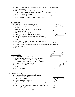- e. The outfielder takes the first ball out of her glove and catches the second one with one hand
- f. The drill is used to teach the outfielder not to panic
- g. After catching the second ball the outfielder jogs around the coach and drops the balls in the basket
- h. As soon as the outfielder catches the second ball the next outfielder steps up to the front of the line and gets in ready position

# **3. Jog and Catch**

- a. All players line up on left field side
- b. 2 coaches w/ catchers are lined up near pitchers mound
- c. Coaches hold ball up and 1 player begins to run toward right field
- d. The coach tosses a high fly ball
- e. The player catches it and throws it back in
- f. The  $2^{nd}$  coach tosses the next ball to the  $1^{st}$  player who has continued to run toward the right field foul line
- g. She catches that ball and throws it back and forms a new line just behind  $1<sup>st</sup>$



i. Repeat in other direction



# **4. Outfield Fungo**

- a. 3 Outfielders are in LF, CF, and RF
- b. 3 fungo hitters w/ baseman face each outfielder
- c. The hitter at  $3<sup>rd</sup>$  hits line drives to LF only
- d. At the same time the hitter at  $2<sup>nd</sup>$  hit's fly balls to CF
- e. Hitter at  $1<sup>st</sup>$  hits ground balls to RF
- f. Each outfielder fields the ball and throws to the correct base
- g. Outfielders rotate

#### **5. Backing Up Drill**

- a. Outfielders line up in LF in a single file line
- b. Infielders line up at home
- c. Situation: Runner at  $2<sup>nd</sup>$
- d. Coach hits ground ball to LF
- e. LF fields the ball and throws home and immediately backs up  $3^{\text{rd}}$  base
- f. Player at home catches the ball and throws to  $3<sup>rd</sup>$  (no one is covering the bag)





*"Backing Up Drill"*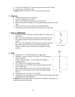g. LF (who is backing up  $3<sup>rd</sup>$ ) retrieves errant throw and throws home

h. Coach hits to next player in line

**Variation:** Drill can be run at CF  $\&$  2<sup>nd</sup> base, and at RF  $\&$  1B

# **6. Rotate Up**

- a. 3 fungo hitters at bases w/ 3 basemen
- b. 3 lines of outfielders LF, CF, RF
- c. Hitter at third hits ground ball down the line past LF
- d. Hitter at second hits a blooper to CF who must slide under ball for a the catch
- e. Hitter at first hits a deep fly ball down the right field line
- f. Outfielders make the catch  $&$  throw  $&$  rotate up to the next line

# **7. Relay w/ Outfield Only**

- a. In groups of three outfielders, with the middle OF acting as the relay person
- b. OF 1 tosses the ball behind her and then goes and retrieves the ball with the proper footwork and throws to OF2, OF2 relays to OF3
- c. OF 3 tosses the ball behind and then goes and retrieves the ball throwing it back to OF2 who in turn relays the ball to OF1. Repeat a number of times and then have outfielders change positions



*"Relay with Outfield Only"*

# **8. Relay**

- a. In groups of 4 w/ 3 balls per group  $& 1$  rubber base
- b. Designate 1 catcher, pitcher, (or cut-off),  $2<sup>nd</sup>$  or SS (relay)  $\&$ and an outfielder
- c. 3 balls are placed approx. 10 feet behind the outfielder's starting position
- d. The 3 players on the field face the catcher
- e. On the signal, each outfielder turns and picks the ball up and throws to the relay
- f. Relay catches ball on her left side, turns left and throws the ball to the catcher aiming at the cut-offs head (right handed player)
- g. Catcher must say "Let it go" or "cut-hold"
- h. Outfielders must plant right foot at ball with left side towards target when picking ball up w/hand and glove

**Variation:** Place the ball further away from the outfielders. Each group can compete against the other group



*"Relay"*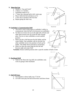#### **9. Shoot the Gap**

- a. Similar to "Jog and Catch"
- b. 2 hitters w/ 2 catchers
- c. Outfielders begin in LF
- d. 1 st hitter hits a ground ball in left/ center gap
- e. Player fields the ball and throws to C2
- f. A new line is formed on RF foul line
- g. Repeat going the other way





LF LF

*"Outfielder's Communication Drill"*

H1 X

X

# **10. Outfielder's Communication Drill**

- a. This drill is used to help improve outfielder's ability to communicate when the ball is hit between two outfielders
- b. On hitter (or tosser) sets up on the right side of home and the other hitter (tosser) sets up on the left side of home plate. Put two or more outfielders at each outfield position
- c. Hitter one hits a ball between the left fielder and the center fielder. One outfielder calls for the ball, the other outfielder moves into position to back up the fielder. The fielder throws the ball to second base
- d. Hitter two does the same thing but hits the ball between right and center field

**Variation:** Rotate outfield positions after a specific number of balls or time



 $2B$  $2E$  CF CF

C X

 $H2$  respectively. The set of  $R$  RF  $_{RF}$ 

# **11. Backhand Drill**

a. Same as the Shoot the Gap drill, but outfielders only work on going to their backhand

#### **12. Ball Off Fence**

- a. Use machine or throw balls over  $1^{st}$  & 3rd
- b. LF  $&$  RF must play the ball off the fence and throw home



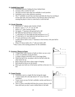# **13. Outfield Fence Drill**

- a. Outfielders practice finding the fence behind them
- b. 3 tossers with a catcher for each
- c. The drill can have more than one outfielder in each position
- d. Outfielders start in their defensive positions
- e. The  $1<sup>st</sup>$  outfielder in each line runs back and finds the fence by touching it. At the same time, the tosser throws a fly ball just short of the fence causing the player to have to come back to catch the ball

# **14. Circuit Throwing**

- a. Minimum of 7 players and a bucket of balls
- b. Players: catch,  $1<sup>st</sup>$ ,  $2<sup>nd</sup>$ ,  $3<sup>rd</sup>$ , LF, CF, RF
- c. Player at  $1<sup>st</sup>$  with a bucket of balls
- d. On signal,  $1<sup>st</sup>$  baseman rolls ground ball to RF
- e. RF fields the ball and throws it back to first
- f.  $1<sup>st</sup>$  rolls ball to CF who fields the ball and throws it to  $2<sup>nd</sup>$
- g.  $2<sup>nd</sup>$  rolls ball to LF who fields the ball and throws it to  $3<sup>rd</sup>$
- $\overline{a}$ .  $3^{\text{rd}}$  turns and throws to the catcher
- i. Catcher throws ball to extra  $1<sup>st</sup>$  baseman in foul territory who puts ball in the bucket
- j. When CF throws ball to SS,  $1<sup>st</sup>$  rolls next ball to RF
- \* Place cones at the starting positions for the outfielders

# **15. Accuracy Throws to Fence**

- a. 1 fungo hitter with a bucket of balls (or hitter can use a tee)
- b. 2 lines of outfielders facing the hitter
- c. A target is hung on the fence next to the fungo hitter
- d. When the ball is hit, one player calls for the ball while the other backs her up
- e. Ball is thrown into fence where target is hanging
- f. Ball should be thrown on the bounce
- g. Hitter gets next ball out of the bucket and hits to the next 2 in line

# **16. Target Practice**

- a. Outfielders start in a single file line facing the target
- b. 1 tosser stands off to the side about 6-10' away from the outfielders
- c. Tosser tosses an easy fly ball, outfielder catches and throws it at the target
- d. This is a more controlled drill than the accuracy throws to the fence drill and you don't need a skilled hitter to hit balls



*"Accuracy Throws to Fence"*

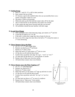#### **17. Finding Range**

- a. Place P, C and LF, CF, or RF in their positions
- b. Base runners line up at third
- c. LF chooses a spot in the outfield where she can successfully throw out a runner at the plate 3 times in a row
- d. She places 3 balls on the ground
- e. When she picks up the first ball that runner takes off for the plate
- f. The LF must hit the cut off and throw the runner out at home
- g. If she cannot she must move forward until she can succeed
- h. All outfielders should become familiar with their range

#### **18. In and Out of Range**

- a. After outfielders know their throwing range, put runners at  $2<sup>nd</sup>$  and 3rd
- b. Coach hits fly balls to LF, CF, RF
- c. If the ball is within their range they throw home for the out
- d. If it is out of her range she must throw the ball to  $3<sup>rd</sup>$  to keep the runner at  $2<sup>nd</sup>$  from advancing

#### **19. Throw Runners Out at the Plate**

- a. LF, P, C,  $3^{\text{rd}}$ ,  $2^{\text{nd}}$  and a fungo hitter
- b. Runners are lined up at  $2<sup>nd</sup>$  and home
- c. Runner at  $2<sup>nd</sup>$  takes a lead
- d. Hitter hits ball to LF and runner at  $2<sup>nd</sup>$  tries to score
- e. LF hits the cut off with the throw home
- f. Catcher lines up pitcher and calls "let it go", "cut-2" or "cut-3"
- g. LF must back up the throw to  $3<sup>rd</sup>$  from pitcher or catcher
- h. Runner tries to fade away from the catcher
- i. All batters/base runners must wear helmets

#### **20. Throw Runner out at the Plate-Tagging at 3rd**

- a. LF, P, C,  $3<sup>rd</sup>$  and fungo hitter
- b. Runners are lined up at  $3^{\text{rd}}$
- c. Runner at  $3<sup>rd</sup>$  takes a lead
- d. Hitter hits ball to LF  $\&$  runner at 3<sup>rd</sup> tags up and tries to score
- e. LF hits the cut off with the throw home
- f. Catcher lines up pitcher and calls "let it go" or "cut-4 or home"
- g. LF must back up throw to  $3<sup>rd</sup>$  in case of a rundown
- h. Runner tries to "fade-away" from catcher
- i. All batters/base runners must wear helmets



X

*Tagging from 3rd"*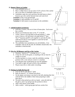# **21. Bounce Throw to Catcher**

- a. Line outfielders up in LF
- b. Place a rubber base or set up cones 15-20' in front of the catcher
- c. Hit or toss flies to Outfielders lined up in LF
- d. Outfielders make the catch and throw the ball home so that it bounces up to the catcher between knee and waist level

**Variation 1:** Hit or toss ground balls

**Variation 2:** Add outfielders in CF and RF

**Variation 3:** Add runners to put pressure on the outfielders

# 22. **Infield/Outfield Jurisdiction**

- a. Drill Has 2 tossers, who are in front of home plate. Each tosser has a catcher
- b. Players are divided into lines at SS,  $2<sup>nd</sup>$ , LF & RF
- c. Tosser 1 throws a fly ball deep in the gap behind  $1<sup>st</sup>$ , while tosser 2 throws a fly ball deep in the gap behind  $3<sup>rd</sup>$  base. The 2<sup>nd</sup> baseman and RF work together to catch the fly ball, while the SS and LF work together to catch the fly ball thrown between them.
- d. The outfielders have jurisdiction over all infielders. If an outfielder calls for the fly ball, the infielders should allow the outfielder to field the ball.

# **23. Dive for All Bloopers and Do or Die Catches**

- a. Situation: bottom of  $7<sup>th</sup>$ , winning run at  $3<sup>rd</sup>$ , 2 outs
- b. A base hit will win the game, so anything in the air must be caught or we lose
- c. Use the machine or a tosser, mark the outfielders starting position with a cone and use a tosser or a machine
- d. Toss bloopers that would barely go over the infielders
- e. Toss balls to right, left and in front of the outfielders
- f. Players must dive or slide under everything

# **24. Picking Up Balls Hit Past OF**

- a. Line up side by side about 5' apart
- b. Balls are placed 5'-10' behind each player
- c. On the signal, each player runs back to the ball, planting their feet with the ball in the middle of their body preparing to make their throw.
- d. The ball is then picked up with two hands press the ball into the glove, pick it up and get into the position to throw
- e. Add a relay player in the middle
- f. Add a contest which group gets ball into catcher first

![](_page_26_Figure_27.jpeg)

![](_page_26_Figure_28.jpeg)

![](_page_26_Figure_29.jpeg)

![](_page_26_Figure_30.jpeg)

*"Dive for all Bloopers/ Do or Die Catches"*

![](_page_26_Picture_32.jpeg)

*"Picking up Balls Hit Past OF"*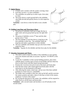# **25. Quick Throws**

- a. 3 tossers and 3 catchers with the catcher covering a base
- b. Each line can have 1 or more outfielders
- c. The outfielders are pulled up in order to get a force play at a base
- d. The tosser throws a quick ground ball to the outfielder, who fields the ball and quickly throws it to the respective catcher

**Variation:** Line drives or short fly balls to turn a double play

# **26. Fielding Long Hops and Throwing to Bases**

- a. One group of outfielders lined up in single file line in right center and one group lined up near the right field line
- b. One group of infielders covers  $2<sup>nd</sup>$  base and the other group covers  $1<sup>st</sup>$  base
- c. The first infielder in each line throws a long hop to the first outfielder in their line. The outfielder fields the long hop and makes a good throw to their infielder

![](_page_27_Figure_10.jpeg)

![](_page_27_Figure_11.jpeg)

d. The next outfielder and infielder step up to the front of their respective lines

**Variation**: Tag play for the infielder and then force play for the infielder

# **27. Situation Assessment and Throw**

- a. This drill is used to assess the ability of the outfielders to react quickly, assess the situation and make an accurate "tag throw" IN FRONT of the runners
- b. Locate the 3 outfielders in their normal fielding positions, place three softballs about 12 inches apart in front of each fielder and have them lay down on their backs with their heads facing home plate
- c. Position the 4 receivers forward of each of the bases and home plate
- d. Start the base runner with a hand signal from home plate with the instruction to run the diamond at full speed
- e. After allowing the runner a head start, call out one of the three outfield positions in a loud voice (i.e. centerfield)
- f. The fielder must scramble to their feet, pick up the ball, quickly ascertain the runners position and make a throw to the base in front of the runners, emphasize "in front of the runner"
- g. By varying the time given to the runner, the outfielders will be required to make throws to all the bases and home plate

**Variations:** add a second runner and introduce a cut off and play on the second runner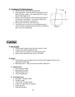#### **28. Conditioner/Fly Ball Development**

- a. Players line up in left field and right field
- b. One fungo hitter will hit fly balls and grounders to left field, the other to right. Each fungo hitter has a bag or bucket full of balls to hit
- c. Players catch ball and run with the ball and put them in the buckets in centerfield. You can have players go back to their same lines or rotate lines
- d. Hit fly balls, line drives, alley shots, etc.
- e. This allows you to work on a lot of different types of catches without wearing out the arm with a lot of throws. Also works on conditioning

![](_page_28_Figure_6.jpeg)

# **Catcher**

# **29. Bite the Ball**

- a. With full gear, partner tosses ball into catcher's mask
- b. Catcher must simulate biting the ball
- c. At the same time, catcher's eyes must spring open!
- d. Helps catcher understand the value of the mask

#### **30. Stance**

- a. With full gear, get into signal stance with feet closer together, butt low and signal given inside legs
- b. Receiving stance Hips up with feet shoulder width apart

# **A. Signal Stance**

- a. Arms resting on thigh
- b. Keep signal in crotch
- c. Fingers pointed down
- d. Slow and deliberate

# **B. Receiving Stance**

- a. Feet apart shoulder width
- b. No glove target
- c. "Fine Tune" on release point
- d. If pitch is inside body, move glove
- e. Frame the pitch
- f. Hold pitch in glove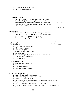- g. If pitch is outside the body, step
- h. Throw glove over shoulder

# **31. One Knee Throwing**

- a. The catchers kneel 20 feet apart on their right knees (right handed catcher). After throwing the ball back and forth for a specific period of time, they move back apart 10 more feet
- b. Keep moving back until they reach the distance equal to that of home plate to  $2<sup>nd</sup>$  base

![](_page_29_Figure_5.jpeg)

- a. Coach throws ball hard from 20-30 feet away to the catcher
- b. The catcher takes a jab step to the left or right attempting to get the middle of the body in front of the ball
- c. **Variation:** Use pitching machine if available

# **33. Blocking Balls**

#### **A**. **Straight on**

- a. Follow ball from release point
- b. Throw knees to ground
- c. Drop glove to ground
- d. Glove is perpendicular to ground
- e. Spread fingers
- f. Glove is resting on thighs, blocking the hole between knees
- g. Hips up thighs perpendicular
- h. Head over the ball

# **B. To Right of Left**

- **a.** Step forward and to the side
- **b.** Push off with other leg
- **c.** Hips face home plate
- **d.** Keep ball in front of home plate

#### **34. Blocking Balls in the Dirt**

- **a.** Start with incrediballs or tennis balls
- **b.** Partner stands approx. 15' away from catcher
- **c.** Partner throws balls in the dirt
- **d.** Catcher must go down on both knees with hips up and head down and keep the ball in front of her
- **e.** Balls can be thrown straight on, or to the left or right
- **f.** If ball is to the side, catcher must take one step up in the direction that ball is thrown

![](_page_29_Figure_31.jpeg)

*"One Knee Throwing"*

![](_page_29_Figure_33.jpeg)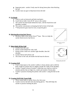- **g.** Important point: catcher's body must be facing home plate when blocking the ball
- **h.** Catcher must use gear to help knock down the ball

# **35. No Hands**

- **a.** Used to work on footwork and body mechanics
- **b.** Coach throws balls from 20-30' away to the catcher
- **c.** The catcher has both hands behind her back, with her head down and shoulders rounded
- **d.** The catcher concentrates on keeping the ball in front of the body
- e. \*\*All protective gear must be worn, except the glove

# **36. Blocking/Receiving Bad Throws**

a. Hit/throw balls to the catcher from  $2<sup>nd</sup>$  base. This is to help the catcher block/receive bad throws

![](_page_30_Figure_10.jpeg)

*"Blocking/Receiving Bad Throws"*

# **37. Block Balls Off the Wall**

- a. Catcher faces the wall
- b. Partner stands behind her with a ball
- c. Partner tosses a ball over catchers right shoulder, then left shoulder
- d. Catcher blocks ball off the wall
- e. The closer to the wall, the harder the ball must be thrown

![](_page_30_Figure_18.jpeg)

*"Blocking Balls off the Wall"*

# **38. Framing Drill**

- a. Used to help improve the catcher's ability to frame pitches and to shift the body weight for pitches that are slightly outside the width of the shoulders
- b. Catcher 1 stands in front of catcher 2 while they use a ball on a stick to simulate pitches that are high, low, inside and outside of home plate
- c. Catcher 3 practices framing the pitches with catcher 1 using the ball on the stick

# **39. Framing Drill With Tennis Balls**

- a. Throw tennis balls to catcher from a few feet away
- b. Catcher receives the ball with only batting gloves. This drill helps the catcher to practice framing the pitch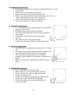# **40. Finding the Fence/Pop Ups**

- a. On all pop ups near the fence, the players should find the fence  $1<sup>st</sup>$ , then catch the ball
- b. Catcher is in receiving stance at home plate
- c. Pitcher stands in front of home plate with the ball
- d. Pitcher tosses ball up and back toward backstop and says "glove" or "hand" indicating the side where ball was thrown
- e. Catcher takes off mask and throws to opposite side
- f. Catcher must find fence  $1<sup>st</sup>$ , then catch the ball

#### **41. Foul Ball Communication**

- a. P, C, 1B and 3B work on communicating with one another on pop ups in foul territory
- b. Each player starts at their respective positions
- c. The coach stands behind the catcher and tosses a ball up in foul territory
- d. The infielders help direct the catcher in the proper direction
- e. The catcher must be in full protective gear
- f. Catcher takes off mask and throws it to the opposite side

#### **42. Pop Fly Communication**

- a. This drill works on communication between the C, P, 1B and 3B
- b. Each player starts at their respective defensive positions with the coach standing behind the catcher at home plate
- c. The coach throws a pop fly between the 4 infielders positions, and the infielders work together in calling for the pop fly
- d. Make sure to have rules regarding the jurisdiction of each player

# **43. Fielding Ball at Backstop**

- a. In 2's, catcher gets into receiving stance
- b. Partner stands 15' in front of home plate with balls
- c. Partner rolls ball past catcher to right, then left side
- d. Catcher lets ball get by her
- e. Catcher runs to backstop, plants right foot (right handed catcher) next to ball with left side toward plate
- f. Catcher picks ball up and uses an underhand toss to partner at the plate

![](_page_31_Figure_26.jpeg)

![](_page_31_Figure_27.jpeg)

![](_page_31_Figure_28.jpeg)

![](_page_31_Figure_29.jpeg)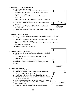# **44. Throws to 1st From Inside/Outside**

- a. Catcher and first baseman
- b. The catcher must always throw to  $1<sup>st</sup>$  on the same side the ball is fielded to prevent throwing across the runner and possibly hitting her
- c. Place a ball in front of the plate and another near the backstop
- d. Catcher begins in her receiving stance and goes to the ball either in front or behind her
- e. 1<sup>st</sup> baseman is calling "inside" for balls fielded inside the diamond
- f. 1 st baseman is calling "outside" for balls fielded outside the diamond
- g. The  $1<sup>st</sup>$  baseman must follow the same procedure when calling for the ball

# **45. Fielding Bunts – Footwork**

- a. With the catcher in her receiving stance, the coach drops a ball in front of the plate
- b. The catcher springs out of her stance, picks the ball up with both hands pressing the ball into her glove
- c. The glove is thrown over her shoulder and the throw is made to  $1<sup>st</sup>$  base on the inside of the diamond

**Variation:** Add throws to 2<sup>nd</sup> and 3<sup>rd</sup>

# **46. Fielding Bunts – Conditioning**

- a. Set six balls down the first baseline and six down the third baseline
- b. Have the catcher(s) practice springing out of the box to field the bunt
- c. Emphasize quickness and proper footwork

**Variation:** Time them or have a contest between your two catchers

![](_page_32_Figure_18.jpeg)

*"Fielding Bunts - Conditioning"*

# **47. Force Plays at Home**

- a. One player at 3B, C, 1B
- b. The catcher has a bucket full of balls for the coach to hit
- c. 1B has an empty bucket to put balls in
- d. Coach hits to 3b, the 3B throws to the catcher at home
- e. The catcher makes the force out at home and then throws to 1B for the double play
- f. After catching the ball, the 1B puts the ball in the bucket
- g. When all balls have been hit, the catcher and 1B exchange buckets
- h. **Variation**: Add SS, 2B and hit to these positions also

![](_page_32_Figure_29.jpeg)

*"Force Play at Home"*

![](_page_32_Picture_31.jpeg)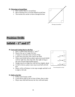#### **48. Throwing to Second Base**

- a. Have catcher throw to second base
- b. Move shortstop five to ten feet behind second base
- c. This teaches the catcher to throw through the base

![](_page_33_Figure_4.jpeg)

*"Throwing to Second Base"*

# **Position Drills**

# **Infield**  $-1$ <sup>st</sup> and  $3^{\text{rd}}$

#### **49. Footwork/Getting Back to the Bag**

- a. Place 2 rubber bases between  $1<sup>st</sup>$  and  $2<sup>nd</sup>$
- b. Players line up in 3 single file lines
- c.  $1<sup>st</sup>$  player in each line starts in front of bag
- d. Coach faces each line with a ball in her hand
- e. When coach holds ball up, player opens up toward infield with her right foot, then steps left, then right on bag as she turns around (right handed player)
- f. Weight must be on right foot with left foot slightly ahead
- g. As ball is thrown, player must step toward ball with left foot
- h. Player will be off balance is she steps straight and ball is off to right or left side

#### **50. Balls in the Dirt**

- a. Follow same format at #49
- b. Coach throws balls in dirt in front of them, then to sides
- c. Player must field ball between her feet with both hands

![](_page_33_Figure_21.jpeg)

*"Footwork/Getting Back to the Bag"*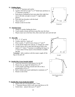# **51. Fielding Bunts**

- a.  $1^{st}$ ,  $2^{nd}$ ,  $3^{rd}$  baseman and catcher
- b. Catcher rolls ball out and  $1<sup>st</sup>$  or  $3<sup>rd</sup>$  fields bunt and throw to  $2<sup>nd</sup>$  baseman covering  $1<sup>st</sup>$
- c. Both players fielding the bunt must plant their right foot next to the ball, turn glove toward  $1<sup>st</sup>$  (right handed player)
- d. Press ball into the glove with the hand
- e. Throw ball to  $1<sup>st</sup>$
- f. Rotate to end of own line

# **52. Find the Fence**

- a. Similar to catcher finding the fence
- b. Coach stands at home and throws pop flies near the fence
- c. Players must run to the fence first, then come back and catch the ball

#### **53. Pick Offs**

- a. P, C,  $1<sup>st</sup>$ ,  $3<sup>rd</sup>$  and SS
- b. Catcher calls for a "pitch out"
- c. Prior to pitch,  $1<sup>st</sup>$  and SS move closer to  $1<sup>st</sup>$  and  $3<sup>rd</sup>$
- d. As the pitcher begins her wind up,  $3<sup>rd</sup>$  charges for a bunt
- e. Catcher moves out to meet ball and throws ball to the inside of  $1<sup>st</sup>$  where  $1<sup>st</sup>$  baseman is straddling the bag or to 3<sup>rd</sup> base where SS has snuck in from behind to straddle the bag

**Variation:** Add a rundown with the runner caught off the bag on the pick off

#### **54. Double Play From Outside Infield**

- a. Teach the footwork to both players for the DP
- b. Players line up single file behind SS or  $2^{nd}$
- c. Coach stands at pitchers mound and rolls or hits a ground ball to  $\overrightarrow{SS}$  or  $2^{nd}$
- d. Ball is fielded and tossed underhand to teammate at 2nd
- e. Rotate to end of line

![](_page_34_Figure_24.jpeg)

![](_page_34_Figure_25.jpeg)

*"Double Play from Outside of Infield"*

#### **55. Double Play From Inside the Infield**

- a. Players line up at SS position and  $1<sup>st</sup>$  base
- b. 1<sup>st</sup> baseman bounces ball to self, turns and throws to SS
- c. Switch lines players line up at  $2<sup>nd</sup>$  and  $3<sup>rd</sup>$

![](_page_34_Picture_32.jpeg)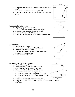- d.  $3<sup>rd</sup>$  baseman bounces the ball to herself, she turns and throws to 2nd
- e. **Variation** 1: add  $1^{\text{st}}$  baseman to complete DP
- f. **Variation 2**: Add fungo hitter hit ground balls to positions above

# **56. Come backer to the Pitcher**

- a. Players line up at  $SS$  and  $2<sup>nd</sup>$  and P
- b. SS and  $2<sup>nd</sup>$  alternate receiving the throw from the P
- c. P bounces ball to herself in front of the mound
- d. P turns and throws ball to  $2<sup>nd</sup>$  base for DP
- e. **Variation:** add fungo hitter hitting ground balls back to P

![](_page_35_Figure_9.jpeg)

*"Double Play from Inside of Infield"*

![](_page_35_Figure_11.jpeg)

*"Come Backer to the Pitcher"*

#### **57. Going Back**

- a. Players line up at SS and  $2<sup>nd</sup>$
- b. Coach tosses or hits bloopers behind SS and  $2<sup>nd</sup>$
- c. Players must turn and run back
- d. After the catch, players throw to  $2<sup>nd</sup>$  base where their teammate is covering the bag
- e. Rotate to the end of the line

![](_page_35_Figure_19.jpeg)

![](_page_35_Figure_20.jpeg)

# **58. Fielding Ball with Runner in Front**

- a. SS,  $2^{nd}$ ,  $1^{st}$  and fungo hitter
- b. Rest of team line up at  $1<sup>st</sup>$  base as the runners
- c. Ground balls are hit directly at  $2<sup>nd</sup>$  baseman
- d. She charges ball and does one of the following:
	- Runs into runner while fielding the ball
	- Fields ball, tags runner and throws to  $1<sup>st</sup>$  for DP
	- Fields ball, throws to SS at  $2^{nd}$  who throws to  $1^{st}$  for DP
- e. **Variation:** hit balls to SS with runners on 2nd
- f. **Variation:** hit ball to SS or  $3<sup>rd</sup>$  with runner at  $2<sup>nd</sup>$  and fake and go behind to  $2<sup>nd</sup>$  base

![](_page_35_Figure_31.jpeg)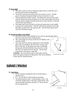#### **59. Pivot Drill**

- a. This drill is used to work on range and explosiveness to balls that are to the back hand and the forehand sides
- b. One fielder starts between and in front of two lines of cones. Another person is stationed facing the fielder in front of each line or cone
- c. These people have buckets of balls. The fielder then sets up in her ready position and the first person facing the cone rolls a quick ball to the line or cone just quick enough so that the person has to pivot and drive to the ball with her back leg and glove.
- d. The fielder then tosses the ball to the side and hustles back to the middle to get into her ready position. Then the other person facing the cone rolls the fielder another ball to the opposite side. The drill then repeats itself until all of the balls are gone.

#### **60. Diving for Balls on the Infield**

- a. This drill is used to teach infielders how to dive for ground balls both to their back hand and to their forehand sides.
- b. The coach stands out in front of the line of infielders with a bucket of balls
- c. The coach starts this drill by rolling balls to the infielders glove side, far enough so that they must crossover and dive for the ball. As the player gets more comfortable diving, then roll the ball farther away from her, so that she must run and then dive for the ball. Do the same progression to the players' hand side.



*"Diving for Balls on the Infield"*

**Variation:** The coach moves back to home plate and hits

balls to the players instead of rolling them. Also move infielders to their specific infield positions

## **Infield – Pitcher**

#### **61. Line Drives**

- a. Work on pitcher catching line drives and throwing to specific bases
- b. P, C, SS, and 3B are at their defensive positions
- c. The pitcher pitches a ball. As the ball gets to the C, the coach hits another ball as a line drive to the pitcher, who catches the ball and throws the ball to  $2<sup>nd</sup>$  base with the SS covering the base

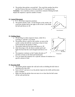d. The pitcher then pitches a second ball. The coach hits another line drive and the P throws this one to 3rd base with the  $3<sup>rd</sup>$  covering the base

**Variation:** Use a machine or have a coach throw instead of hitting the balls Repeat the sequence a specific number of times.

#### **62. Lateral Movement**

- a. P, C, 1B at their respective positions
- b. The pitcher pitches a ball. As the ball gets to the catcher, the coach hits another ball to the right or left of the P, who fields the ball and throws to 1B



#### **63. Fielding Bunts**

- a. 1B and 3B are at their respective bases, while SS is covering  $2<sup>nd</sup>$  and the C is at home
- b. The pitcher throws a pitch to the catcher, as soon as the catcher catches the ball the coach drops a bunt in front of the mound for the pitcher to field
- c. The pitcher fields the first bunt and throws to 1B
- d. After throwing to 1B, she throws another pitch and fields the bunt that the coach dropped and throws it to  $2<sup>nd</sup>$
- e. The sequence continues as the P makes the play at  $3<sup>rd</sup>$ and then at home on the third and fourth bunts
- f. You can repeat this sequence for a specific amount of rotations or a specific amount of time



#### **64. Reaction Drill**

- a. The pitcher pitches against the wall and works on fielding the ball when it rebounds off of the wall
- b. Start at 20-25' and move in as the pitcher improves her skills and becomes more confident
- c. Make sure that the pitcher does not move in so close that the ball comes off the wall and hits her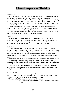## **Mental Aspects of Pitching**

#### Concentration

 To be outstanding in anything, you must learn to concentrate. This means directing your entire mental capacity on a specific objective. Your objective as a pitcher is to throw the ball where you want it to go. You must not allow yourself the luxury of letting your mind think of anything else but where you are going to throw the ball. The mind, the muscles, the concentration and the proper mechanics will enable you to do what you want with the softball.

 You can concentrate on only one thing at a time. The area of focus of the eyes is limited to a very small spot. Therefore, your mind and eyes cannot wander from their determination to throw the ball to a specific spot.

 On each pitch, you must do two things in the following sequence: 1- concentrate on where you want to throw the ball and 2- throw the ball hard.

#### Relaxation

 Relax physically, but never mentally. If you are tense, control and timing is impossible. Learning to relax is a must. The desire to pitch well and be impressive can have a negative effect. Here is one suggestion that may help you relax. Take a deep breathe before you start your motion, let the air out and let yourself relax.

#### Mental Attitude

 Having the proper mental attitude is probably the most important part of successful pitching. If you are confident, you can do the job without the fear of failure, you usually don't tense up. Confidence is developed only by having successful outings. If you want to be a successful pitcher, you must pitch with the proper mechanics, be strong and flexible; pitch every chance you can to improve yourself, gain confidence and learn to relax.

 The proper mental attitude is the basis for success in any player. It consists of the will to win, eagerness to learn, and the intelligence to retain what you have learned from experience. If what you did yesterday still looks good or impressive to you, you have not done much today.

 It is normal to try to be impressive when members of your family, your boyfriend or other friends are in attendance. Trying to throw too hard, you generally rush and create nothing but problems. Learn to relax and concentrate, especially in these situations.

#### Positive Thinking

 Without the proper mental attitude or approach, you cannot succeed because the mind controls the body. The pitcher must have the proper mental attitude toward the batter. The batter is your enemy, with certain strengths and weaknesses.

Think about the following commands in a positive manner:

A. I can learn the proper mechanics and I will practice until I grasp them.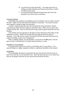- B. I can develop my body physically. I can endure pain and I'm willing to sacrifice pleasure now because in the future, I will be rewarded in many ways.
- C. I can develop myself mentally through study and I have selfdiscipline to do what I know is necessary.

#### Emotional Stability

 Controlling your emotions is something you must constantly work on, both on and off the field. Anger robs the individual of the ability to concentrate. You must have poise and composure, instead of anger and frustration.

 A serious, expressionless face and calm and unhurried actions should be constant when things go badly and when things go well (poker face). When you lose, don't sulk or blame anyone else. Find out what you did wrong, study the game and profit from your mistakes.

 Your attitude and your approach to the game are most important in their effect on the opposition or enemy. Walk to the mound with your head up and with a look of assurance. If you take forever to get to the mound (with lazy steps and head down) you radiate the feeling "maybe I don't belong here".

 With a confident attitude, you should think: I can get her to hit **MY** pitch; I will not give in to her; I will battle her to 3-2 pitch and not lose her to a walk.

#### Butterflies in Your Stomach

 If you get scared, feel nervous or have a sick feeling, don't worry about it. It is a natural feeling for a highly competitive athlete to experience butterflies in the stomach.

#### Intimidation

 Try to intimidate the batter by staring into her eyes from the time she leaves the on deck circle until she is set in the batter's box. Show the batter that you are in control and that you are going to make her hit your pitch and not the pitch she likes.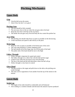# **Pitching Mechanics**

## **Upper Body**

### **Grip**

- Grip the ball across the seams
- Grip it firm, but don't over grip it

#### **Pitching Arm**

- The arm should be fully extended
- The arm stays close to the ear when the arm goes above the head
- Keep the arm close to the hip on the way down
- The farther the arm gets away from the body the less control the pitcher has

#### **Arm Whip**

- The pitching arm should whip down as quick as possible on the downswing
- **•** Create maximum arm speed to add velocity to the pitch

#### **Wrist Snap**

- Snap the wrist as quick as possible at the bottom part of the circle
- The wrist snap should be a violent snapping action
- The ball should roll off the finger tips, not off the palm of the hand
- The pinkie side of the hand should be next to the thigh

#### **Follow Through**

- Follow through is important for speed and control
- The follow through is in a direct line with the ball and the target
- Control is lost when the arm moves away from the body
- The line of the hand and the ball determines where the ball will go
- Follow through is a key factor in control

#### **Glove Hand**

- The glove points at the target and pulls down to the side as the pitching arm comes through
- The arms work in opposition of one another from the top of the motion to the bottom

## **Lower Body**

#### **Stride Leg**

- The length of the stride should be comfortable and well balanced
- Over striding is a common mistake and decreases the amount of power produced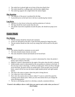- $\blacksquare$  The stride foot is placed right out in front of the pivot (back) foot
- The stride should be a walking stride with the knee slightly bent
- $\blacksquare$  The stride leg supports the weight before the motion begins

#### **Hip Rotation**

- The majority of the power is produced by the hips
- A powerful pivot on the back foot is the key to producing hip rotation

#### **Leg Drive**

- $\blacksquare$  Leg drive is a key factor in the pivot and the production of velocity
- The legs should tire much sooner than the arm
- The pitcher must drive (explode) towards the plate, she should not jump (crow hop)

## **Entire Body**

#### **Pre-Motion**

- The pre-motion should be relaxed and consistent
- It does not add speed to the pitch, it gets the body prepared to begin the pitch
- The pre-motion should not take away any energy that will be used for the pitch itself

#### **Motion**

- The motion should be consistent on every pitch
- The body should remain relaxed, not tense
- The arms should be relaxed and should not be forced back

#### **Control**

- The ball is in the pitcher's hand, so control is determined by where the pitcher's hand is upon release of the ball
- High/low control is determined by the angle of the palm when the ball is released
- Inside/outside control is determined by the arm position in relation to the body. If the arm stays close to the body, it will be an inside pitch. If the arm flows through across the body, the pitch will be an outside pitch. If the arm gets away from the body, control will be lost into the batters (right handed pitcher and right handed batter).
- The step is the same no matter where the pitch is being thrown.
- Cue: snap your wrist to the target.
- Don't slow the motion down to throw strikes!!! Learn to control the speed by working on the release point. When you slow the motion down you change the entire pitching pattern.
- The key to developing control is to develop a smooth, consistent delivery.

#### *"Control is the ability to throw a ball when you want to and a strike when you have to" – Herb Dudley*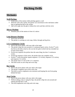# **Pitching Drills**

## **Mechanics**

#### **Wall Pitching**

- Isolate parts of the motion while pitching against a wall.
- With the wall as the catcher, the pitcher can concentrate on her mechanics rather than on getting the ball to the catcher.
- Add wrist snaps into the glove without the circle and then with the circle.

### **Mirror Pitching**

Simulate parts of the motion in front of a mirror

### **Long Distance Pitching**

- Pitch from 50-60 feet.
- The pitcher is working on wrist snap, follow through and leg drive.

### **5-3-1 Continuous Circles**

- Start in the power phase, with your side to the target.
- The pitcher whips her arm around in 5 continuous quick circles. On the  $5<sup>th</sup>$  circle she throws the ball as hard as she can into her glove (which she has extended out in front of her body).
- On the next sequence the pitcher does the same thing, but does 3 continuous circles.
- On the last sequence of this series, the pitcher does one complete circle.
- On the  $2<sup>nd</sup>$  series the pitcher repeats sequence 1 (5 circles), sequence 2 (3 circles), and sequence 3 (1 circle).
- The pitcher does 3-5 sets of the 5-3-1 sequence.
- This drill works on arm whip and wrist snap.

#### **Bat Circles**

- Start in the power phase with your side to the target.
- The pitcher completes arm circles with a bat.
- This drill is used to emphasize arm extension and keeping the arm from going behind the head.

#### **Arm Circles**

- Start in the power phase with your side to the target.
- Without taking a step or using her hips, the pitcher whips her arm around and releases the ball into a wall.
- This drill emphasizes arm whip and wrist snap.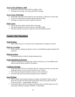### **Arm Circles Without a Ball**

- Same drill as the arm circles drill, but without a ball.
- **Working on arm whip, wrist snaps and follow through.**

#### **Arm Circles With Hips**

- Same drill as the arm circles drill, but now the pitcher is allowed to use her hips.
- As the arm whips down the pitcher quickly drives her hips.
- Working on a quick arm and an explosive hip drive.

#### **Half Circles**

- Start in the power phase with the side to the target.
- The pitcher brings her arm back and up to shoulder height.
- She then whips her arm down, snaps her wrist and releases the ball.

## **Games Like Situations**

#### **Wall Pitching**

Tape a strike zone on a wall and work on hitting spots (working on control).

#### **Pitch to a Catcher**

 With a catcher catching, the pitcher works on controlling her speed and game like situations.

#### **Hitting Stations**

■ The pitcher pitches to batters during batting practice.

#### **Game Situations in Practice**

 With the outfielders executing bunts, steals, hit and runs, etc. the infielders play defense and the pitcher pitches to the batters.

#### **Challenge Pitching**

- As the last drill of the day, the pitcher chooses 3 players from her own team and challenges them to try to get a hit off of her in an "At Bat".
- This is fun for the pitcher and the catcher as well as the hitters.
- Save this drill until your pitcher has gained some confidence.

#### **Spot Pitching**

- With a catcher and someone acting as an umpire, the pitchers choose a type of pitch and a location for their pitch (if the pitcher only has one pitch, then she works on location – inside/outside, high/low).
- Each pitcher gets to pitch 10 pitches at each spot that is selected. Keep score for each target. (Similar to playing "HORSE" in basketball)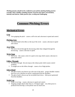*Pitching practice should not be confined to your pitcher pitching batting practice everyday with 13 fielders standing around. Everyone loses their concentration, intensity and interest. Make practice fun, exciting and challenging.*

## **Common Pitching Errors**

### **Mechanical Errors**

#### **Grip**

Over gripping the pitch – causes a stiff wrist and a decrease in speed and control.

#### **Pitching Arm**

 Too much bend in the elbow at the top of the circle – causes a decrease in speed and control.

#### **Arm Whip**

The arm is forced through the downswing rather than whipped through the downswing – causes a decrease in speed.

#### **Wrist Snap**

 Stiff wrist – this causes a lack of a quick wrist snap which causes a decrease in speed and control.

#### **Follow Through**

- No follow through –the arm stops at the release point which causes control problems.
- A straight arm on the follow through causes a lot of high pitches.

#### **Glove Hand**

- $\blacksquare$  The glove hand is not thrown up at the start of the pitch proper shoulder rotation does not occur, therefore no power is generated from the shoulders.
- The glove hand is thrown up, but not pulled back down little power generated from the shoulders.

#### **Stride Leg**

- Stride is too long causes a decrease in speed and control.
- Stepping straight ahead rather than at a 45 degree angle very little power is produced from the hips, so the pitcher uses too much arm.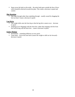Steps across the body on the stride – the entire body goes outside the line of force which should be directed towards the plate. This causes a decrease in speed and control.

#### **Hip Rotation**

 $\blacksquare$  Hip drags through rather than exploding through – usually caused by dragging the foot too hard. Causes a decrease in speed.

#### **Leg Drive**

- $\blacksquare$  The weight shifts onto the front leg so that the leg drive cannot occur decrease in speed.
- If Jumping (Crow Hopping) with the front foot, rather than stepping with the front foot and driving with the back foot – causes a decrease in speed.

### **Entire Motion**

- Inconsistent something different on every pitch.
- Tense body forces the arms back (causes the weight to shift too far forward) decrease in speed.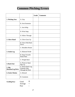# **Common Pitching Errors**

|                                     |                                                                  | Grade | <b>Comments</b> |
|-------------------------------------|------------------------------------------------------------------|-------|-----------------|
| 1. Pitching Arm                     | A. Grip                                                          |       |                 |
|                                     | <b>B.</b> Arm Extension                                          |       |                 |
|                                     | C. Arm Whip                                                      |       |                 |
|                                     | D. Wrist Snap                                                    |       |                 |
|                                     | E. Follow Through                                                |       |                 |
| 2. Glove Hand                       | A. Glove Goes Up                                                 |       |                 |
|                                     | <b>B.</b> Glove Pulls Back<br>Down                               |       |                 |
|                                     | C. Shoulders Rotate                                              |       |                 |
| 3. Stride Leg                       | A. Balanced Stride                                               |       |                 |
|                                     | <b>B.</b> Steps Towards<br>Home Plate                            |       |                 |
|                                     | C. Weight Back                                                   |       |                 |
| 4. Back Foot                        | A. Pivots to Open<br>Hips Up                                     |       |                 |
| 5. Hip<br><b>Rotation/Leg Drive</b> | A. Drives Back Leg,<br><b>Explodes Hips</b><br>Through the Pitch |       |                 |
| <b>6. Entire Motion</b>             | A. Relaxed                                                       |       |                 |
|                                     | <b>B.</b> Consistent                                             |       |                 |

| <b>Grading Key:</b> | Good    | ⊙ |
|---------------------|---------|---|
|                     | Average |   |
|                     | Poor    |   |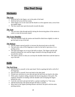## **The Peel Drop**

## **Mechanics**

### **The Grip**

- Hold the ball in the fingers, not in the palm of the hand.
- Hold the ball across the four seams.
- Three fingers are on one seam and the thumb is on the opposite seam, across from the middle finger.
- The four seams must spin downwards towards the plate.

### **The Arm**

• The arm must whip through quickly during the downswing phase of the motion in order to create the necessary speed.

#### **The Front Shoulder**

 The front shoulder leads the motion and should be tilted down slightly in order to get the hand on top of the ball.

#### **The Release**

- Pull the fingers upward quickly to increase the downward spin on the ball.
- The ball must come off the fingertips in order for the ball to spin down. It is a peeling action.
- The hand and fingers are on top of the ball on release. The fingers and the ball should be behind the wrist and the fingers should be driving through the ball towards the catcher.
- The stride is shorter so that you can keep the shoulder tilted down and the hand on top of the ball.

## **Drills**

#### **The Peel Drop**

- Spin the ball to yourself, in the same hand. Work on getting the ball to roll off of the fingertips.
- **Spin the ball to yourself, from one hand to the other hand.**
- Extend your arm down to your side and spin the ball from one hand to the other.
- With a piece of plastic tubing, simulate the downswing phase of the pitch. The emphasis should be on leading with the shoulder and on keeping the fingers behind the wrist.
- Cock the wrist back and spin the ball to a partner standing 6 to 7 feet away.
- Add the backswing with speed and spin the ball to a partner.
- Move back to the regular pitching distance and throw the pitch with the entire pitching motion.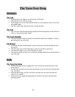# **The Turn Over Drop**

## **Mechanics**

### **The Grip**

- Hold the ball in the fingers, not in the palm of the hand.
- Hold the ball across the four seams.
- Three fingers are on one seam and the thumb is on the opposite seam, across from the middle finger.
- The four seams must spin downwards towards the plate.

### **The Arm**

• The arm must whip through quickly during the downswing phase of the motion in order to create the necessary speed.

### **The Front Shoulder**

 The front shoulder leads the motion and should be tilted down slightly in order to get the hand on top of the ball.

#### **The Release**

- At release, the hand should quickly snap over the top of the ball pushing the spin downward.
- The ball must come off the fingertips in order for the ball to spin down
- The hand and fingers are on top of the ball on release
- The stride is shorter so that you can keep the shoulder tilted down and the hand on top of the ball.

## **Drills**

#### **The Turn Over Drop**

- Without the ball, practice snapping the wrist over the top of the ball (start in the power phase).
- Extend your arm down to your side and snap the wrist over the top of the ball and into your glove.
- With the backswing, cock the wrist back and snap over the top of the ball and release it to a catcher.
- Move back to the regular pitching distance and throw the pitch with the entire pitching motion.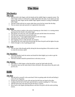# **The Rise**

## **Mechanics**

#### **The Grip**

- Hold the ball in the fingers with the thumb and the middle finger on opposite seams. The index finger is bent or curled and at a slight angle below the seam. As an option you may squeeze the index finger and the middle finger together instead of curling or bending the index finger.
- The ball is held with the two seams rather than across the four seams like the drop.
- The two seams must spin upwards as it approaches home plate.

#### **The Wrist**

- The wrist action is similar to the action of opening up a door knob, it is a turning motion opening from the thumb to the pinkie finger.
- The quicker you snap your wrist, the tighter the spin and the better the movement.
- The ball must spin upward towards home plate.
- The palm faces  $3<sup>rd</sup>$  base (right handed pitcher) as the wrist snaps.
- The pitcher leads with the heel of the hand.
- The snapping action is under the ball, not around it.
- The quicker the wrist snap  $\&$  the downswing, the faster the pitch and the tighter the spin.
- Follow through is a key in getting good spin.

#### **The Arm**

 The arm must whip through quickly during the downswing phase of the motion in order to create the necessary speed.

#### **The Shoulders**

- The front shoulder leads the motion and should be tilted slightly up in order to get the hand under the ball.
- The back shoulder should be pointed down in the back, not out.

#### **The Motion**

- The stride is a little longer so that the pitcher can get her hand under the ball.
- The pitcher must use her entire body to throw this pitch. She cannot throw this pitch with just her arm.

## **Drills**

#### **The Rise**

- Spin the ball to yourself, in the same hand. Work on getting under the ball and feeling it come off your fingertips.
- Extend your arm down to your side and spin the ball from one hand to the other.
- Leading with the heel of the hand, spin the ball to a partner standing 6 to 7 feet away.
- Add the backswing with speed and spin the ball to a partner.
- Move back to the regular pitching distance and throw the pitch with the entire pitching motion.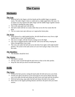# **The Curve**

## **Mechanics**

### **The Grip**

- Hold the ball in the fingers with the thumb and the middle finger on opposite seams. The index finger is bent or curled and at a slight angle below the seam. As an option you may squeeze the index finger and the middle finger together instead of curling or bending the index finger.
- This is the same grip used with the rise.
- The ball is held with the two seams rather than across the four seams like the drop.
- The two seams must spin sideways as it approaches home plate.

#### **The Wrist**

- When thrown by a right handed pitcher, the ball should move away from a right handed batter or into a left handed batter.
- The arm is in tight, with the forearm coming across the thigh.
- The wrist is snapped quickly under the ball and across the body, keeping the follow through below your waist.
- The wrist cuts under the ball and across the body from right to left (right handed pitcher). The action is the same action as if you were trying to skip a rock across the water.

#### **The Shoulders**

• The shoulders should be level.

#### **The Motion**

- The stride is normal.
- The hip comes around through the pitch more so than in the other pitches.
- Keep the chin and eyes down towards home plate.

## **Drills**

#### **The Curve**

- Without the ball, practice cutting the hand under the ball and across your body.
- Extend your glove arm down at your front leg (in your power phase) and snap your wrist under the ball and release the ball across your body and into the glove.
- With the backswing, snap under the ball and release the ball to the catcher.
- Move back to the regular pitching distance and throw the pitch with your entire motion.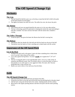# **The Off Speed (Change Up)**

## **Mechanics**

### **The Grip**

- The ball should be held the same way as the drop, except that the ball is held in the palm of the hand instead of in the fingers.
- The tighter the thumb, the stiffer the wrist. The stiffer the wrist, the slower the pitch.

### **The Motion**

- Your motion and your arm speed should be the same as it is for your other pitches.
- The key to throwing a good off speed pitch is keeping the motion the same and making it look like a fastball. You must convince the batter with the motion that a fastball is coming.

### **The Follow Through**

It must be quick. This gives the batter the illusion that the ball is moving fast.

#### **The Release**

- The pitcher takes her thumb off of the ball and rolls her hand over the top of the ball.
- The pitcher turns her hand as if she is reaching out to shake hands with the catcher.

## **Importance of the Off Speed Pitch**

#### **Use of the Pitch**

- Establish this pitch early in the game. It gives the hitter something else to think about even if you don't throw them all for strikes.
- Use it only against the big hitters. You don't **usually** use it against the  $7<sup>th</sup>$ ,  $8<sup>th</sup>$  or  $9<sup>th</sup>$ batters.
- The key to using this pitch is to be unpredictable with it. Use it in a wide variety of situations and different counts. Don't be afraid to throw it on the first pitch, on back to back pitches or on a full count to a very aggressive hitter. Be smart, don't become predictable that is what will hurt you.
- Ideally you want to throw it low and away from the hitter.

## **Drills**

#### **The Off Speed (Change Up)**

- Open the hand up and roll the ball from one hand to the other.
- Extend the arm down at the side and roll the ball from the pitching hand to the glove hand
- Add the back swing and roll the ball to the catcher. (shaking hands with the catcher).
- Move back to the regular pitching distance and throw the pitch with the entire pitching motion.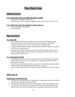# **The Pitch Out**

## **When to Use It**

#### **Use a Pitch Out when you think the offense might:**

- Steal, hit & run, squeeze or bunt & run.
- When the base runner is taking an aggressive lead and you want to pick her off.

#### **Use a Pitch Out when the defensive team wants to:**

- Walk an opponent intentionally.
- Use a trick play.

## **How to Use It**

#### **As a Pick Off**

- Prior to the pitch, the catcher should stand at a spot where the pitcher should throw the pitch out. This is the reference point for the pitcher. She should visualize the spot when the catcher returns to her catching position.
- A signal should be used to indicate to the defensive team that a pitch out is going to be thrown on the next pitch.
- The pitch out should be thrown out far enough so that the batter cannot hit it. It should be high enough so that the catcher can spring out of her stance, catch the ball and make a quick throw.

### **As an Intentional Walk**

- According to the rules, the catcher must stay in her box until the pitch leaves the pitcher's hand. If she does not, an illegal pitch is declared and the base runner is awarded the next base.
- The catcher stands at the edge of the catcher's box with her throwing hand (right handed catcher, right handed batter) extended out as a target.
- As soon as the pitcher release the ball, the catcher can step out of the box to catch it.

## **Why Use It**

#### **Importance of the Pitch Out**

- Pitch Outs are an important part of the game. In a close game, a pitch out could be the difference between winning and losing.
- Pitch outs give the defensive team an extra weapon to attach the opponent with.
- As with every skill, the pitcher and the catcher must practice this pitch and must always throw some prior to the game when warming up with their other pitches.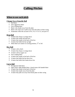# **Calling Pitches**

### **When to use each pitch**

### **Change Up or Knuckle Ball**

- Pull hitter
- Over aggressive hitter
- Over striding hitter
- Batter who stands away from the plate
- Batter who steps out or pulls away from the plate on their swing
- Sometimes when the account is 0-0, 2-0, 3-1 or 3-2, not just  $0-2$

#### **Drop Ball**

- A batter that chops or swings down
- A batter that stands tall and erect
- $\blacksquare$  A batter that stands in the back of the box
- A batter that holds the bat up high
- When there are runners in scoring position,  $2<sup>nd</sup>$  or 3rd

#### **Rise Ball**

- A batter with a hitch
- A batter that chops or swings down
- A batter with an upper cut
- Over striding hitter
- A batter that stands in the back of the box
- $\blacksquare$  A batter that holds the bat down low
- A batter that holds their hands down low

#### **Curve Ball**

- An opposite field hitter
- Open stance right handed hitter, closed stance left handed hitter
- A batter that stands in the back of the box
- A batter that stands away from the plate
- A batter that pulls out away from home plate on their swing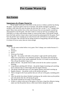## **Pre Game Warm Up**

### **Key Factors**

### **Importance of a Proper Warm Up**

 The pre game warm up is a key factor in the success or failure a pitcher has during the game. A good pre game warm up is essential. The pitcher should be warmed up enough so that when she starts the game she feels like she's in the  $2<sup>nd</sup>$  or  $3<sup>rd</sup>$  inning of the game. Many times pitchers have rocky starts because they are not properly warmed up and prepared to start the game. The time it takes to warm up will vary according to the individual, as it takes some pitchers longer to warm up than others. Each pitcher should know her body and how long it takes to get loosened up and prepared for the game. Don't have the pitcher start warming up too early because she will finish too soon before the start of the game. She will then end up sitting around too long getting cold and stiff again. It is better to be too warm, than not warm enough.

#### **Routine**

- Use the same routine before every game. Don't change your routine because it's hot etc.
- Stretch!!!
- $\blacksquare$  Run!!!
- Warm up Over hand
- Egg rolls the catcher rolls balls to the pitcher's right and left and the pitcher slides over to the ball in a low defensive position. The pitcher picks the ball up and tosses it back to the catcher underhand. Do this 5 to 6 times in each direction. This will get the pitcher's legs warm
- $\blacksquare$  Balls in the dirt the pitcher throws balls in the dirt for the catcher to practice blocking
- Long distance pitching  $(40-50 \text{ feet})$  the pitcher begins loosening up by pitching from a distance that is a little longer than the regular distance
- The pitcher should then move in to the regular distance and finish warming up
- Regular distance the pitcher works on her pitches and spots
- Throw enough of all of your pitches that you will use in the game, including pitch outs
- After the pitcher has almost finished warming up, the catcher mixes up the pitches and calls pitches like she will during the game
- The pitcher should now be ready to start the game
- If there is a delay in the start of the game or you have a long first offensive inning, make sure that the pitcher throws a little more before taking the mound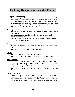# **Fielding Responsibilities of a Pitcher**

#### **Primary Responsibilities**

 The primary responsibility of a pitcher is to pitch, but once she releases the pitch her new responsibility is to be a fielder. After the pitcher releases the pitch, she should be prepared to field. The pitcher has as much of a responsibility to be a good defensive player, as does any other player on the infield. The pitcher must be able to field ground balls and bunts, catch pop ups, handle the ball on a cutoff and cover home plate on balls that get by the catcher.

#### **Backing up the Bases**

- The pitcher is responsible for backing up  $3<sup>rd</sup>$  base when the ball is being thrown in from the outfield.
- She backs up the infielders when the ball is thrown in from an outfielder to an infielder at any of the bases.
- If the pitcher is not the cutoff, then she backs up home plate on balls that are thrown home from the outfield.

#### **Pop Ups**

- The pitcher calls for and catches only those balls that are popped up in front of her.
- The pitcher does not back peddle behind the mound.

#### **Cutoffs**

- The pitcher lines up the outfielder with home plate.
- The pitcher must be ready to cut the ball off and make a throw to a base.

#### **Bunt Coverage**

- $\blacksquare$  On a basic bunt defense with the 1<sup>st</sup> and 3<sup>rd</sup> baseman covering the bunts, the pitcher is responsible for any bunt that is pushed passed the  $1<sup>st</sup>$  or  $3<sup>rd</sup>$  baseman.
- With the  $1<sup>st</sup>$  baseman playing back, the pitcher is responsible for fielding bunts down the  $1<sup>st</sup>$  baseline.
- The pitcher is responsible for fielding the majority of the surprise or drag bunts. She also fields a lot of the squeeze bunts.

#### **Covering Home Plate**

 As soon as the pitcher sees that the ball has gotten by the catcher she sprints towards home plate. As she gets close to the plate, she starts to slow down and uses a jump stop to gather herself in front of home plate (not on the plate). As soon as she catches the ball and puts the tag on, she quickly gets out of the way.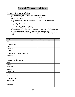# **Use of Charts and Stats**

## **Primary Responsibilities**

- Keep stats that will help you analyze your pitcher's performance
- The win/lose record and the score doesn't necessarily represent the true picture of how your pitcher is performing
- Types of stats that will help you to evaluate your pitcher's performance include:
	- o Number of hits
	- o Number of walks
	- o Ball/strike ratio
	- o Number of hits on a 2 strike count
- If possible, record these types of stats after each game and then compare them to the previous game(s). Many times these types of stats will reveal different pitching patterns. By comparing one game to the next, you can see these patterns develop.
- By spotting these problem areas early, you can try to resolve them before they get out of control.

| Game #                                 | $\mathbf{1}$ | $\overline{2}$ | 3 | $\overline{\mathbf{4}}$ | 5 |
|----------------------------------------|--------------|----------------|---|-------------------------|---|
| Date                                   |              |                |   |                         |   |
| Innings Pitched                        |              |                |   |                         |   |
| Runs                                   |              |                |   |                         |   |
| <b>Earned Runs</b>                     |              |                |   |                         |   |
| # of Hits                              |              |                |   |                         |   |
| # of Hits with 2 strikes on the batter |              |                |   |                         |   |
| <b>Strike Outs</b>                     |              |                |   |                         |   |
| Walks                                  |              |                |   |                         |   |
| <b>Opponent's Batting Average</b>      |              |                |   |                         |   |
| <b>Balls</b>                           |              |                |   |                         |   |
| <b>Strikes</b>                         |              |                |   |                         |   |
| <b>Total Pitches</b>                   |              |                |   |                         |   |
| Fastballs                              |              |                |   |                         |   |
| Change Ups                             |              |                |   |                         |   |
| Rises                                  |              |                |   |                         |   |
| <b>Drops</b>                           |              |                |   |                         |   |
| # of Batters Faced                     |              |                |   |                         |   |
| Win or Loss                            |              |                |   |                         |   |
| Comments                               |              |                |   |                         |   |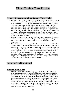## **Video Taping Your Pitcher**

### **Primary Reasons for Video Taping Your Pitcher**

- Video taping your pitcher can be one of the most beneficial things you can do for her and your team. If possible, you should show your pitcher a video of someone doing it correctly. This usually helps the pitcher to understand what you want a little better. Videotaping should not be a one-time event. The more you do it, the more your pitcher will get out of it. Try to video at least every three weeks and more often is she is struggling. Videotaping shows the pitcher's improvement and also helps to spot problem areas that need work. You should try to videotape from two or three different angles, rather than just one. If possible, videotape your pitcher from the front, the side and the back; you will miss a lot of things if you only video her from one angle.
- Videotaping can be a key to your pitcher's improvement and success. Sometimes pitchers have a problem comprehending some of the things you are telling them. But if they see themselves doing it, it tends to sink in more and helps them to improve quicker.
- After videotaping your pitchers, you should evaluate their mechanics. Then show them the video and go over the evaluation with them. If your video equipment has slow motion use it because that will help even more, especially on something that isn't a glaring problem. Make sure you do the evaluation and show them the video as soon as possible. Don't wait two or three weeks before you show them the video. You should keep each evaluation so that you can compare each new evaluation to the previous one(s). This will usually show their improvement and progress. It will also help identify any problem areas. After you evaluate them a couple of times, let them try to evaluate themselves.

### **Use of the Pitching Mound**

#### **Proper Use of the Mound**

 This is one of the keys to a pitcher's success. The pitcher should be given an opportunity during practice to pitch off of the mound. The pitcher should step onto the mound with her feet in the proper position to begin the pitch. One foot should be at the front of the rubber (right foot for right handed pitchers) and the other foot should be at the back of the rubber. They should not be side by side. The pitcher should make sure to have her feet at least should width apart. Practicing off the mound is important for the proper use of the mound and for the pitcher to develop her rhythm and timing coming off of the mound. If the pitcher is not use to the mound, her timing will be off during the game. This will cause a decrease in speed and possibly control.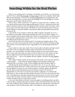## **Searching Within for the Real Pitcher**

When I'm not pitching well, I can blame it on the ball, on an off day, or I can truly ask myself if I have worked hard enough and long enough to deserve to complain. More often than not poor pitching is a result of not enough concentration, lack of true practice, and the lack of enough heart to win (everyone has the desire to win, but the heart of a winner never gives up no matter what the score is).

I have to know within myself why I'm a pitcher. If I <u>love</u> what I do as a pitcher, I owe it to myself and the team to be the best possible pitcher I can be. I will practice hard with patience and heart and know that I can always be better tomorrow than I am today. I must have a goal in my head and my heart to be the best I can be and lead my team to the top, and be willing to accept and shoulder with pride the faith and responsibility the team has invested in me.

 I must decide if I am content to remain the caliber of pitcher I presently am. If so, I have died as a true athlete, and am only marking time until I am too old to compete. If I am not satisfied with my present ability then I must set a personal goal to work hard in all ways mentally and physically to be the best I can be. Everything has a price, and I must be willing to pay the price for success.

 I must truly ask and verify within myself if I am doing just enough to get by. If the answer is yes, then I must realize that I have lost respect for myself by not being my best self, and that I am also hurting the team I supposedly love by not giving them the best I can be.

 I must realize too, that I am a leader. First I must be able to discipline and lead myself. Once this is truly accomplished, being a leader on the field will come easily and earnestly. Yes, my teammates will make mistakes behind me, but I must reassure them that it's okay, that I know they are trying ever bit as hard as I am. They need to see and feel my support because the bottom line is that I am a part of my team and they are truly a part of me . . . and we win together and lose together, and above all stick together through it all.

 Once I begin to blame another for the outcome of the game, I have removed myself as a team member . . . I have divorced myself willingly from a family of friends and teammates that I care about. I truly will feel unhappy and alone and deservingly so.

 I should take the mental challenge of every batter I face. It' two on one, and my catcher and I should never lose. I need to feel close to my catcher; she is the other half of me and together we create our own world of oneness. I need her support and guidance and she needs my devoted attention and concentration to pitch well. In time of disagreement we will work it out and trust one another's judgment. If we fail and the batter beats us, then we learn from the mistake and strive to correct it next time. But it has to be a learning process through communication and discussion. For once I am no longer in tune with my catcher, then once again I or she has divorced ourselves from the team concept and again I feel very alone on the mound.

 I, too, am a vital fielder on the field. I must not neglect my fielding and back up skills. I must be able to change mental gears and know what to do with the ball when I get it and do it with confidence and not hesitate or question what to do with the ball. I must learn to read situations as they develop and go where I am needed to assist my teammates. To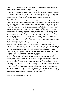forget, I have lost concentration and must regain it immediately and strive to never get caught with my mental pants down again!

 I must strive to know if I am a good hitter and if so, work hard on my hitting also. Pitchers and catchers should be excellent hitters because they know the mental challenge the opposing battery is dealing with. If I am not a good hitter or a fast base runner, then I may have to accept my not hitting and concentrate on my pitching and fielding. My main concern is that the team be as strong as possible and that I do my share to make it and keep it that way.

 I need to be a supporter when I'm not playing. If I'm not, I need to ask myself why I'm not. If I'm sitting on the bench mentally involved in why I didn't start or why I'm not playing, I have again divorced myself from my team family and I will feel very unhappy and alone. If I feel I have true concerns about my lack of playing time, I must make it a point to ask my coach why, but in the meantime I must set my personal concerns aside and support my team family 100%. In doing so, I have put faith in my coach and her decision not to play me, and know that I can question her later if I truly feel the need.

 I need to know, too, that my teammates don't have the answers to the coaching decisions that have been made. Once I spend my time questioning the coach during a practice or a game, I have lost my concentration as a player and hence have not fulfilled my responsibility to the team by giving 100% of my mental time to the game. I must trust my role as a player and my coach, or I will not be happy or productive as a player. I must do my job and strive to do it well.

 I am a champion. If I have never felt this feeling I must strive to do so. I can be a champion without always winning. I can do this by being a champion player and teammate. My goal is always to win and play with authority. I must be confident, but not cocky. I must know I am good because I have worked to get where I am as an athlete. I must now initiate my ability on the field as consistently as possible game after game. Champions are consistent and consistency takes skill and skill takes practice. I must be willing to develop the champion within me to its fullest.

 I love my team. If I don't, then why am I here? They may well be a diverse group of individuals off the field, but as a team I love them and want to work hard to be a successful part of the team. They are my comrades and we represent a school we all are proud of. I am going to hurt and ache when we lose and I'm going to rejoice when we win because my team has touched my heart and I truly care about our playing success. This is not to say everyone on the team will care as much as I do, but then again, I cannot not care. As long as they know and I know I care, I have succeeded in doing my share.

 I must now decide if these convictions are true within me or if they are only words. Only the athlete can decide for me. I must know the answers in my heart before I can continue successfully to be the best athlete I deserve to be. God gave me the healthy body and mind that I need; now what I do with it is truly up to me.

Sandy Fischer, Oklahoma State University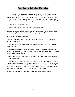## **Dealing with the Umpire**

The catcher's attitudes and actions toward the umpire can affect the umpire's performance. Therefore it is important for the umpire to believe that the catcher respects and submits to his authority. Although intimidation will work with some umpires, and is used quite often, it is not conducive to consistent calls. The following is a guide which will help set the umpire free to call a good game, with your cues foremost in his thoughts.

1. Do not get him on the defensive

2. Be calm, tactful, polite and rational when questioning a call.

3. Do not turn around and talk to the umpire. It is intimidating, because the crowd sees you questioning him. Ask questions while looking straight ahead.

4. Hustle. An umpire appreciates that.

5. Brag on your pitcher. Tell the umpire, prior to the first pitch, that the pitcher has a great breaking drop or rise.

6. If the umpire is not calling a certain pitch, ask the direction in which the pitcher is missing the target.

7. If you hinder the umpire's view, suggest that perhaps he could step around to see, because it is difficult for you to change your style. Make sure, however, you demonstrate that you will attempt to change.

8. Moan at pitches rarely and only when you know it will keep the umpire on his toes without being a threat.

9. If the umpire calls pitches late, relate that it is difficult for you to make a decision. In some situations the decision is based on the umpire's call. For instance, with three balls on the batter, the runner at first could be going; a called strike could mean a stolen base, while a ball could result in a walk. The catcher's reaction to a steal would be to throw down; an unnecessary poor throw means extra bases for the runners.

10. When the umpire takes a shot, make sure to inquire about his condition.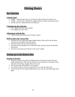## **Hitting Basics**

## **Bat Selection**

### **Criteria Used**

- Length hitting surface must cover all areas within and near the strike zone.
- $\blacksquare$  Weight must be able to handle the weight of the bat without sacrificing control.
- The bat must be comfortable and well balanced.

#### **Changing the Bat Selection**

- $\overline{\phantom{a}}$  Use a lighter bat with a faster pitcher.
- Use a lighter bat when tired.

#### **Adjustment with the Bat**

• Choke up; give up a little power for better control.

### **Drill to Select the Correct Bat**

- With the bat in the right hand (right handed batter), hold a ball in the left hand, with the arm extended towards the pitcher.
- The ball is held with the palm facing down.
- Drop the ball and attempt to hit it with both hands on the bat before the ball hits the ground.
- This shows bat speed and if the bat is the correct weight.

## **Setting up in the Batters Box**

#### **Position in the Box**

- Measure yourself to the plate by holding the bat at the knob with the left hand (right handed batter). Place the tip of the bat on the inside part of the plate. Move feet back with the legs straight. Bend at the waist.
- The fat part of the bat should be over the plate.
- You must be able to reach every pitch that is in or near the strike zone.
- Stand with the left foot (right handed batter) even with the front (flat) edge of the plate.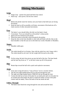# **Hitting Mechanics**

### **Grips**

- Finger Grip quicker bat speed and better bat control.
- Palm Grip more power, but less bat control.

### **Head**

- Before the pitcher starts her motion, turn your head so that both eyes are facing the pitcher.
- Keep the head as still as possible at all times, movement of the head sets off a chain reaction of other unwanted movements.

#### **Eyes**

- The batter's eyes should follow the ball, not the batter's head.
- Concentrate. Your eyes should be on the pitcher's release point.
- Ignore all extra motions by the pitcher.
- Watch the seams on the ball; watch the grip by the pitcher.
- Keep the chin on the front shoulder to start with and finish with the chin on the back shoulder so that the eyes are on the ball (Cue words: Shoulder to Shoulder).

#### **Stance**

■ Shoulder width apart.

#### **Stride**

The stride should be 6 to 8 inches. Step with the stride foot, don't lunge with it. The stride should be soft, don't let the weight shift forward on the stride.

#### **Feet**

 On the swing, the back foot pivots up onto the ball of the foot. The knee bends and the back leg forms an "L" as the heel comes up off of the ground.

#### **Hips**

Rotate hips toward the ball with a quick and explosive movement.

#### **Arms**

- Arms must swing forward in a "Line of Force" not in a circular motion.
- The left arm (right handed batter) PULLS the bat through the zone.
- The right arm (right handed batter) THROWS the bat through the zone.
- Contact the ball out in front of the plate for an inside pitch and over the plate for an outside pitch (the farther the pitch is inside the farther in front of the plate contact must be made). Throw the knob of the bat inside the ball.

#### **Follow Through**

The batter must finish the swing through the zone and around her back.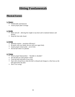# **Hitting Fundamentals**

## **Physical Factors**

#### **1. Stance**

- Comfortable and balanced.
- Assure proper plate coverage.

#### **2. Stride**

- Short and soft allowing the weight to stay back and to maintain balance and flexion.
- Keep the front side closed.

#### **3. Swing**

- Minimize motion maximize efficiency!
- Be quick with your hands, but not with your upper body.
- Assure proper contact point out in front.
- $\blacksquare$  Hit the ball where it is pitched.

#### **4. Vision**

- Assure proper head position "shoulder to shoulder".
- See the ball out of the pitcher's hand.
- Track the ball with both of your eyes.
- Start with a broad focus when the ball is released and change to a fine focus as the ball approaches the plate.
- Don't over swing!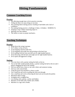# **Hitting Fundamentals**

## **Common Coaching Errors**

#### **Practice**

- Not allowing enough time to hit in practice everyday.
- Telling the hitter too many things at one time.
- Not watching hitters during practice resulting in bad habits and a lack of confidence.
- Not making batting practice a challenge  $(1 \text{ hitter}, 14 \text{ fields}) = BORING!!$
- Jumping to step 5 before mastering steps1-4.
- Ignoring your best athletes.
- The failure to insist on proper mechanics.

## **Teaching Techniques**

#### **Practice**

- Break down the swing in groups.
- 50-75 elbow in line of force.
- $\blacksquare$  25-50 stepping with the stride foot.
- 25-50 stepping with stride foot and pivoting on the back foot.
- 20-25 pulling with the front arm (left arm for right handed batters).
- 20-25 throwing with the back arm (right arm for right handed batters).
- 20-25 quick and aggressive swings.

#### **Stations**

- Tees into fence with a partner setting the balls on the tee.
- Tee on the field: inside/outside pitches, a partner setting the ball on the tee and 2 players shagging the ball in the outfield.
- Soft toss and hit into a fence or net with a hitter and someone tossing.
- Soft toss with colored balls.
- Using the power bat attached to a fence or pole.
- Use a small bat and work on pulling the front arm through.
- Use a small bat and work on throwing the back arm out towards the pitcher.
- Maximum effort swings.
- **Swinging with a weighted bat.**
- Live hitting with a pitcher, catcher and fielders.
- Machine on the field with a feeder and a fielder.
- Machine in a cage with a feeder.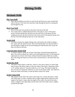# **Hitting Drills**

## **Mechanic Drills**

#### **Hip Turn Drill**

 Place the bat behind your back (at waist level) and hook your arms around both ends of the bat. Pivot back foot and throw hips through the pitch by rotating the bat through the zone.

#### **Back Foot Drill**

- **Pivot on the back foot and throw the knob of the bat at the ball.**
- Put a tennis ball or softball behind the heel of the player's foot. If the player pivots, the heel should kick the ball away from her foot. If the player lets her weight go forward, the heel of the foot will come up off of the ground and go over the top of the ball making the ball stay in the same place.

#### **Stride Drill**

 The hitter assumes her regular hitting stance and isolates the stride by taking a low, quick and soft stride forward. The coach should make sure that the hitter is not moving her weight too far forward during the stride because this causes the hips to be thrown forward.

#### **Concentration Stride Drill**

 A coach or players stands out in front of the batter with both hands behind her back. The coach or player has a ball in one hand behind her back. If she brings her right hand out in front of her body without the ball the batter holds her position, but if she brings her hand out in front of her with the ball in it, the batter takes her stride.

#### **Stride Box Drill**

 The batter stands inside a stride box, which is a box that is about six inches high and as long as the batters stance is plus her stride. If the batter's beginning stance is 18" and her stride is 6" then the stride box is 24" long. The batter swings the bat over and over inside the stride box to work on the proper stride. The stride box limits the stride of the batter, so that the batter cannot over stride.

#### **Stride Chain Drill**

 The purpose of this drill is the same as the stride box; it limits the batter's stride. The stride chain is a piece of plastic link (or light weight metal) chain that is the length of the batter's stance plus the length of her stride. One end of the stride chain is clipped to the right ankle and the other end of the stride chain is clipped around the left ankle.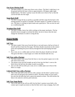### **One Knee Hitting Drill**

 The hitter stands 12-15 feet away from a net or fence. The hitter's right knee is on the ground and the left knee is bent at approximately a 90 degree angle (right handed batter). The hitter's partner tosses the balls out in front of her so that she can hit the balls into the target.

#### **Snap Back Drill**

 The hitter swings the bat as quickly as possible and then snaps the bat back to the starting position as quickly as possible. The hitter repeats it a number of times in a row. The hitter is working on quick hands and a good pivot. This can also be used as a conditioning drill.

#### **Weighted Bat Drill**

 The hitter swings a heavy bat while working on the proper mechanics. The bat should be heavy enough to overload the hitter, but not so heavy that she must change her mechanics in order to swing the bat.

### **Fence Drills**

#### **Self Toss**

- The hitter stands 3 feet away from the fence or net and tosses a ball up in front of herself and hits it hard into the target. The hitter should concentrate on the contact point and exploding the power directly through the ball and keeping the head down.
- Put a cone, tee or a rubber plate out front where the player should toss the ball. This gives the hitter a visual target as to where she should make her toss.

#### **Soft Toss with a Partner**

- The hitter stands 3 feet away from the fence or net, her partner squats over to the side and in front of her.
- The partner tosses the ball straight up and in front into the hitter's zone as the hitter drives the ball into the target as quick as possible.
- Just as in the self toss drill, put a cone, tee or a rubber plate out in front of the hitter as a target.

#### **Colored Soft Toss with a Partner**

 This is the same drill as the soft toss with a partner, but the hitter's partner tosses balls with red and green dots painted on them. The hitter strides on every pitch, but only hits the balls that have a green dot painted on them. This drill teaches the hitter to be selective with her pitch selection.

#### **Soft Toss Snap Backs**

 This is the same as the soft toss drill, but the hitter's partner tosses balls to the contact spot in rapid succession so that the hitter never stops swinging. Start with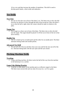10 in a row and then increase the number of repetitions. This drill is used to develop quick hands, a short stride and endurance.

## **Tee Drills**

#### **Two Tees**

 Set one tee four feet out in front of the hitter's tee. The hitter tries to drive the ball from her tee and have it drive through the ball on the second tee. Place the hitter's tee so that the ball is right where the contact should be made in relation to the plate.

#### **Target Tee**

 Put a target on a fence out in front of the hitter. The hitter tries to drive the ball into the target. The target should be placed 15-20 feet out in front of the tee in line drive territory.

#### **Double Tee**

 One tee is lined up for an inside pitch and the other for an outside pitch. The hitter alternates hitting inside and outside pitches.

#### **Advanced Tee Drill**

 Hit one ball off of the tee and then close your eyes and hit the next one off of the tee. Alternate hitting balls with the eyes open and the eyes closed.

## **Pitching Machine Drills**

#### **Tracking**

 Using a pitching machine, the hitter tracks the ball all the way from the machine to the backstop or to a catcher.

#### **Game Like Hitting Practice**

 A pitcher or other player at the machine gives an offensive signal to the hitter. The hitter must execute (hit and run, bunt, hit away etc.) as if in a game.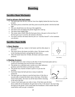# **Bunting**

## **Sacrifice Bunt Mechanics**

#### **Used to advance the lead runner**

- The batter gets into the box with her front foot slightly behind the back foot (toe to heel).
- The batter pivots on both feet until they point toward the pitcher with the bat held high.
- The eyes should look over the top of the angled bat.
- The batter turns just before the pitcher begins her wind up.
- The batter bunts strikes only!
- The runner takes a lead; when the bunt goes down, she goes to the next base. If the bunt goes up or is not hit, she returns to the base.
- You must convince the batter that her job is to "sacrifice herself" so her teammate can advance.

## **Sacrifice Bunt Drills**

#### **1. Basic Bunting**

- Have players pair up, 1 player is the bunter and the other player is the tosser.
- The tosser throws the bunter ten balls to bunt. The bunter works on her bunting mechanics and getting the bunts down.
- After the bunter bunts the 10 balls, the bunter and tosser switch positions.

#### **2. Bunting Accuracy**

- A rope is place (or a line is drawn in the dirt) 15 feet from home plate and in a semicircle stretching from one foul line to the other.
- The pitcher (or a machine) and a catcher are at their defensive positions and all the hitters are lined up at home.
- The pitcher has a bucket of balls to pitch or to put into the machine.
- Each hitter bunts the ball and tries to keep it inside the semicircle.
- The hitter gets two chances to put the bunt down. If the first or second strike is bunted the hitter runs to first base. If the hitter misses both strikes, she must run all the bases before returning to the end of the line.
- Contest: Each batter gets one strike to bunt. If the hitter puts the bunt down within the set boundaries she gets back in line, if she doesn't she must shag the balls for the pitcher. Each round make the boundaries a little smaller than the round before until you get a winner(s).



*"Basic Bunting"*

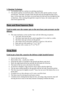#### **3. Bunting Technique**

- Two pitchers and two catchers (or pitching machines).
- One pitcher pitches toward home plate, while the other pitcher pitches toward second base. The hitter at home, bunts the ball and runs through the bag at first base. At the same time, the hitter at second bunts the ball and runs through the bag at third base. After running through their respective bases, the runners jog to the end of the opposite line.

## **Bunt and Run/Squeeze Bunt**

#### **Used to make sure the runner gets to the next base; puts pressure on the defense.**

- The same mechanics as the sacrifice bunt with the following exceptions:
	- o Turn later, but not too late.
	- o The hitter must bunt the next pitch regardless if it is a ball or a strike.
	- o The hitter must get it down on the ground.
	- o The runner runs on the pitch; similar to a steal or a hit and run.
	- $\circ$  Bunt and run with runners at 1<sup>st</sup> or 1<sup>st</sup> & 2<sup>nd</sup>.
	- $\circ$  Squeeze with a runner on 3<sup>rd</sup> or 2<sup>nd</sup> & 3<sup>rd</sup>.

## **Drag Bunt**

#### **Used to get a base hit; surprise the defense (right handed batter)**

- Start in the back of the box.
- Bunt strikes only usually low strikes.
- Drop the bat until it is parallel to the ground and about waist level.
- Move the right hand up the bat and take the left hand off of the bat.
- The knob of the bat rest in the bend of the elbow.
- As the bat is dropped, a big crossover step is taken with the right foot.
- The bat must remain parallel to the ground with the left side toward the pitcher.
- $\blacksquare$  The first step must be slightly toward 1<sup>st</sup> base, but not out of the batters box or on home plate.
- If runners are on, they advance as if it were a sacrifice bunt.
- The hitter must be moving forward upon contact.
- Common errors: letting the bat drop too low, not using a big crossover step and moving the bat in front of the body instead of keeping it behind the body.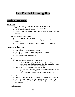# **Left Handed Running Slap**

## **Teaching Progression**

### **Philosophy**

- On base average is the most important thing not the batting average.
	- o The player must have average to above average speed.
	- o Forget about their batting average.
	- o You want them to hit a weak to medium ground ball to the left side of the infield.
- This puts pressure on the defense
	- o It gives the hitter a running start.
	- $\circ$  It puts pressure on the 1<sup>st</sup> baseman who is trying to out run the runner back to the bag.
	- o It puts pressure on the shortstop who has to make a very quick play.

#### **Mechanics of the Swing**

- Inside out swing
	- o Start against a barrier to work on the swing.
	- o Keep the hands inside the ball and high in the strike zone.
	- o Keep the front side of the body closed.
	- o Follow through with the right hand.
- Footwork
	- o The left foot takes an aggressive crossover step.
		- $\blacksquare$  The step should be on the front line of the batter's box.
		- Make sure to keep the front side closed so that you can have good coverage over the outside corner of the plate.
	- o The first step is a short jab step with the right foot
		- This is used as a timing device and helps open up the right foot so that you can crossover with the left foot.
		- Take a crossover step directly at the pitcher (don't bail out)
- **Batting Tee** 
	- o The hands are high in the zone and ahead of the ball (in front of the tee).
	- o Proper bat angle this puts the bat angled towards the left side of the infield. The hands come forward with the left foot (hit with the wrist and the forearm).
- Pitching Machine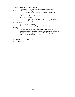- o Catch the ball in a stationary position.
	- With a glove on the left hand, catch the ball behind you.
- o Catch the ball on the first step.
	- Catch the ball behind your body as the left foot lands on the ground.
- o Catch the ball running through the batter's box.
	- Run first, hit second.
	- Catch strikes only if it is not a strike get the glove out of the way (do not catch the ball) and continue to take a couple of steps.
- o Drag Bunt
	- Move towards the pitcher.
	- Open the front hip up and keep the shoulder down.
- o Slap
	- The hand position should be the same on the drag and on the slap.
	- Lead with the knob of the bat and the hands high in the strike zone.
	- Keep the bat in the right hand on the follow through to get the momentum headed towards  $1<sup>st</sup>$  base.
- Conclusion
	- o The slap gets runners on base.
	- o It leads to runs.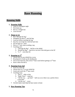## **Base Running**

## **Running Skills**

#### **1. Running Skills**

- Arms at a 90 degree angle
- Pick knees up
- Run in a straight line
- **Lean forward**

#### **2. Home to 1st**

- Run "through the bag"
- Straighten up about 5' past the bag
- Lean just before reaching the bag
- Stay low out of the box with the back foot
- Do not leap on  $1<sup>st</sup>$  base
- Dive at  $1<sup>st</sup>$  only when avoiding a tag
- Coaching cues:
	- a. "Through the Bag" ball hit to the infield
	- b. "Round the Bag" base hit or an error if the ball goes to the OF
	- c. "2,  $2$ " extra base hit

#### **3. Running to 2nd**

- Always dive on any infield hit or error
- Be prepared to break up the double play
- On an extra base hit, look at the  $3<sup>rd</sup>$  base coach before getting to  $2<sup>nd</sup>$  base
- Know where the ball is

### **4. Running from 2nd**

- Score on a base hit
- Always dive at  $3<sup>rd</sup>$  on any infield hit
- **Listen and watch the 3<sup>rd</sup> base coach**
- Coaching Cues:
	- a. "Hit It" slide or dive
	- b. "Right There" stand up
	- c. "All the way . . . get back" ball was cut or there was a perfect throw to the plate
	- d. "All the way" score
- On deck batter must help the base runner at home

#### **5. Base Running Tips**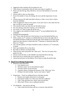- Aggressive base running will win games for you.
- Take chances in preseason; find out what your team in capable of.
- Never run into the tag. Stop, fall down, run out of the baseline or out to the outfield.
- Always slide or dive on close plays.
- Know the number of outs, the inning, the score and the importance of your run.
- Always tag up on fly balls and either advance or fake a run to force a throw from the outfielder.
- Take an aggressive lead on every pitch. If you don't have to dive back into the bag, you haven't gone far enough.
- On a sacrifice bunt, run when you see the ball do down.
- On a hit and run, steal and a squeeze, run on the pitch.
- On a bunt, if  $3<sup>rd</sup>$  base is open, go all the way.
- $\blacksquare$  On a single to the outfield, be ready to take  $2<sup>nd</sup>$  on any bobbled ball by the outfielder.
- Find the ball immediately.
- $\blacksquare$  On 3<sup>rd</sup> base, lead off and run in foul territory in case the batted ball hits you.
- With a runner on  $2<sup>nd</sup>$ , advance on infield balls that are hit to the right side of the infield and hold on balls hit to the left side of the infield (if you have good speed you may advance to third after the  $3<sup>rd</sup>$  baseman or shortstop makes the throw to  $1<sup>st</sup>$  base).
- On a suicide squeeze, the batter should be ready to advance to  $2<sup>nd</sup>$  on the play to home.
- Don't get doubled off on a line drive.
- Be ready to advance on all pass balls.
- When diving, learn and perfect the "fade away". This can win many close games for you.
- Always touch the base, as the infielder may drop the ball on the tag.
- Never give up or assume that you're going to be out!
- Always put pressure on the defense. Force them to make the perfect play.

#### **6. Head First Diving Progression**

- Reasons to dive head first:
	- a. Less injuries occur
	- b. The base runner can see the defensive player
	- c. The base runner can see the base
	- d. A greater chance of being safe because of the "fade away" dive
	- e. Diving is fun and exciting –it gives your team a "spark"
- Progression Teach on cardboard boxes with baby powder
	- a. Remove any staples and secure it to the grass
	- b. Each player stands 2 to 3 feet away from the cardboard
	- c. Take 1 step, get down low, throw arms out and dive
	- d. Move back 10 feet, run to cardboard and dive
- On infield dirt dive back to the bag
	- a. Take a lead from the base and use a crossover step and dive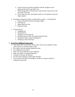- b. After the lead, the position should be with the weight low and balanced and ready to go either way
- c. When diving back to the bag, take a big crossover step, get low and dive back to the bag
- d. Throw both arms out, keep hands closed in a fist position to prevent finger injuries
- Incorporate diving into all base running drills everyday Coaching Tips
	- a. Players should hit forearms and upper thighs
	- b. Kick legs up
	- c. Make hands into fists
	- d. Keep eyes open
- Common Errors
	- a. Dragging toes
	- b. Slowing down
	- c. Taking a two foot take off
	- d. Breaking natural stride when approaching the base
	- e. Staying too high, instead of getting low
	- f. Diving too close to the base

#### **7. Feet First Sliding Progression**

- Take cleats off or wear tennis. Cleats tend to stick in the cardboard, which causes players to roll their ankle or knee
- Sit on grass with one leg bent behind the other
- Use cardboard with powder
- Take a few steps and slide on the cardboard
- Make sure player is leaning/sitting back
- Continue to increase the distance
- Use the same technique to slide under the balls
- You can also teach either the sliding or diving on wet grass instead of cardboard and powder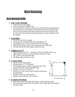# **Base Running**

## **Base Running Drills**

### **1. Four Corner Running**

- Divide team into four groups
- Send each group to a different base
- $\blacksquare$  On the signal, the 1<sup>st</sup> runner at each line runs through the bag and then goes to the back of that next line. Repeat until all players have gone through the bag. Then everyone rounds the bag and dives bag, then they round and go to the next base. The last rotation has the players going to two bases ahead as if they hit a double.

#### **2. Team Relay**

- Divide the team into two groups
- $\blacksquare$  One group stays at home and the other group goes to  $2^{nd}$
- On the signal, the  $1<sup>st</sup>$  person in each line runs 2 bases ahead
- When their teammate crosses 2 bases ahead, the next runner goes
- The team that has all of their players finish first wins

#### **3. Tagging Up at 3rd**

- Three players line up at  $3^{rd}$  one player on the base and the other two on rubber basses that are set up in foul territory even with  $3<sup>rd</sup>$  base
- The coach hits a fly ball to left field
- The players tags up and try to score

#### **4. 3 Corner Relay**

- $\blacksquare$  Divide team into three groups
- The groups go to  $1<sup>st</sup>$ ,  $3<sup>rd</sup>$  and home
- On the signal, runners at home swing a bat, take it with them down the line and run through the bag
- Runners at  $1<sup>st</sup>$  run to  $3<sup>rd</sup>$  and dive
- Runners at  $3<sup>rd</sup>$  take a lead, return to the bag to tag up and then goes home
- All three runners go at the same time
- Runners rotate to the end of the next line

#### **5. Tee Ball with Defense**

- Batter/base runner hits the ball off of the tee with the defense in place
- You can put only the left side of the infield, only the right side of the infield or the entire infield

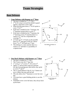## **Team Strategies**

## **Bunt Defenses**

### 1. **Cone Defense with Runner at 1st Base**

- The bunt is fielded by  $1<sup>st</sup>$ ,  $3<sup>rd</sup>$ , P & C
- $\sim 2^{nd}$  & SS creep in toward the infield to guard against a slap bunt or slow roller
- When the bunt goes down,  $2^{nd}$  & SS sprint to cover  $1^{\text{st}}$  &  $2^{\text{nd}}$
- If the bunt is fielded by the  $1<sup>st</sup>$  baseman, the 3<sup>rd</sup> baseman retreats back to cover 3<sup>rd</sup>
- If the bunt is fielded by the  $3<sup>rd</sup>$  baseman, the  $1<sup>st</sup>$  baseman covers  $3<sup>rd</sup>$  (anytime there is a runner at  $2<sup>nd</sup>$ , the SS is responsible for covering  $3<sup>rd</sup>$ )
- **LF** backs up  $3^{rd}$ , CF backs up the possible throw to  $2<sup>nd</sup>$ , then gets in line for a throw from  $1^{st}$  to  $2^{nd}$ , RF backs up  $1^{st}$  base
- This defense is a must anytime there is a runner at  $3<sup>rd</sup>$  and there is a possibility of a squeeze bunt



### 2. **One Back Defense with Runner at 1st Base**

- The bunt is fielded by  $3^{rd}$ , P & C
- The P must cover the  $1<sup>st</sup>$  base line
- $\blacksquare$  1<sup>st</sup> covers 1<sup>st</sup>, 2<sup>nd</sup> covers 2<sup>nd</sup>, SS covers 3<sup>rd</sup>
- Again,  $2<sup>nd</sup>$  and SS must creep in to prevent the slap from getting past them before they sprint to cover  $2^{nd}$  and  $3^{rd}$
- The is a good defense if the  $#3$ , 4 or 5 batters are up or a batter that may pull the ball
- $\blacksquare$  This also allows the 1<sup>st</sup> baseman to cover her own bag
- You must have a good fielding pitcher to use this defense
- **•** Outfielders never cover the bases, they always back up the bases

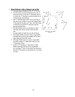#### 3. **Bunt Defense with a Slapper up to Bat**

- The bunt/slap is fielded by SS,  $2<sup>nd</sup>$ ,  $3<sup>rd</sup>$ ,  $P \& C$
- $\blacksquare$  The SS moves in front of the base line, the 3<sup>rd</sup> baseman moves in and the  $2<sup>nd</sup>$  baseman moves in where the  $1<sup>st</sup>$  baseman would normally be on a bunt during cone defense
- $\blacksquare$  The 1<sup>st</sup> baseman plays back next to the bag so that she is not trying to out run the slapper back to the bag for the play at  $1<sup>st</sup>$  base. She also helps on balls hit over the  $P/2^{nd}$  baseman and any pop ups behind them
- The left fielder moves in and plays in short left field. She moves closer to the foul line and

is responsible for balls hit over the SS head

- The center fielder moves in and is responsible for balls that are hit up the middle and in short right field and short left center
- The right fielder moves in and is responsible for balls at deep  $2<sup>nd</sup>$ , right field, and over the 1<sup>st</sup> baseman's head
- If the P,  $2^{nd}$  baseman,  $1^{st}$  baseman or right fielder fields the ball the SS is responsible for covering  $2<sup>nd</sup>$  base. If the ball is hit anywhere else the  $2<sup>nd</sup>$  baseman is responsible for covering 2<sup>nd</sup> base



*"Bunt Defense with a Slapper up to Bat"*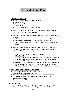# **Outfield Game Plan**

#### **1. General Information**

- Four places a ball can be hit to every outfielder
	- o In front of her
	- o To the right of her for extra bases
	- o To the left of her for extra bases
	- o Over her head for extra bases or a home run
- Any ball that is not hit in front of you will automatically be thrown to the relay who is either the SS or  $2<sup>nd</sup>$  baseman
- Any ground ball hit in front of you should be thrown two bases ahead of the led runner
	- $\circ$  Situation #1 no one on or runner on 3<sup>rd</sup>; ball is thrown to 2<sup>nd</sup>
	- o Situation #2 runner on 1<sup>st</sup> or 1<sup>st</sup> & 3<sup>rd</sup>; the ball is thrown to 3<sup>rd</sup>
	- o Situation #3 runner on  $2^{nd}$  or  $2^{nd}$  &  $3^{rd}$  or bases loaded; the ball is thrown home
- Anytime there is a base hit to the outfield with a runner at  $3<sup>rd</sup>$ , the run will score, so don't make a foolish throw to the plate allowing the batter to advance to  $2<sup>nd</sup>$  and get into scoring position.
- There are two different types of plays for the outfielders:
	- o **"Play it Safe"** don't take a chance on a diving catch and make sure to keep the ball in front of you on a ground ball. It is better to give up a base hit rather than a triple or homerun. The coach should indicate whether she wants you to "Play it Safe" or not.
	- o **"Do or Die"** our opponents will win if we give up a base hit or we fail to throw the runner out at the plate (even if the catch is out of your range). The coach will indicate if the situation is a "Do or Die" situation or not.

### **2. Key Points to the Outfield Game Plan**

- You must hit the relay person (SS or  $2<sup>nd</sup>$  baseman)
- You must hit the cutoff person  $(1<sup>st</sup>$  or P)
- Your throws must hit the dirt, as these throws are faster than air balls
- The outfield is the last line of defense, keep the ball in front of you
- Don't back up too close
- Never be a spectator!!!

#### **3. Backing Up**

- The center fielder backs up LF  $\&$  RF on balls that are hit in front of them
- When balls are hit down the line, the CF goes opposite to back up a throw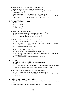- Balls hit to LF, CF backs up and RF goes opposite
- $\blacksquare$  Balls hit to RF, CF backs up and LF goes opposite
- After the initial play, each outfielder must move quickly to back up the next possible throw/play
- Always anticipate and react **before** an errant throw occurs
- If the catcher tells the cutoff to "Cut 2" the RF and LF must be in good back up position and the CF must be ready for a throw from the cutoff

### **4. Backing Up Double Plays**

- Positions:
	- $\circ$  RF- 1<sup>st</sup> base
	- $C = C^{\text{nd}}$  base
	- $\circ$  LF 3<sup>rd</sup> base
- $\blacksquare$  Ball hit to 3<sup>rd</sup> or SS in the hole:
	- $\circ$  LF backs up the play and them moves to back up 3<sup>rd</sup> base
	- $\circ$  CF backs up the possible throw to  $2<sup>nd</sup>$  into right center field
	- $\circ$  RF backs up 1<sup>st</sup> base on a possible double play
- Ball hit to  $2<sup>nd</sup>$  or SS up the middle on a double play:
	- $\circ$  LF backs up DP throw to 2<sup>nd</sup> then moves to 3<sup>rd</sup>
	- $\circ$  CF backs up ball hit to  $2^{nd}$ , then moves back in line with the next possible throw if the runner at  $2<sup>nd</sup>$  is safe
	- $\circ$  RF backs up the throw from 2<sup>nd</sup> to 1<sup>st</sup>
- Ball hit to  $1<sup>st</sup>$  on DP or to  $2<sup>nd</sup>$  in the hole:
	- $\circ$  LF backs up 3<sup>rd</sup> for the possible throw from 1<sup>st</sup> to 3<sup>rd</sup>
	- $\circ$  CF backs up the possible DP throw to  $2<sup>nd</sup>$ , then moves back to CF for the next possible throw
	- $\circ$  RF backs up hit ball and then moves to back up 1<sup>st</sup>

### **5. Fly Balls**

- Fly balls hit within the outfielder's "throwing range":
	- o Throw one base ahead of the lead runner
	- o If the runners occupy  $1^{st}$  & 3rd bases, and both runners hold, the outfielder should get the ball in as quickly as possible to the cutoff player
- Fly balls hit out of the outfielder's "throwing range":
	- $\circ$  With a runner at 3<sup>rd</sup> only, you must throw the ball home
	- $\circ$  With runners at 1<sup>st</sup> & 3<sup>rd</sup> or 2<sup>nd</sup> & 3<sup>rd</sup>, throw the ball one base ahead of the back runner

#### **6. Rules for the Outfield Game Plan**

- On a base hit, the ball is thrown two bases ahead of the lead runner (except at  $3<sup>rd</sup>$ )
- On a fly ball, the ball is thrown one base ahead of the lead runner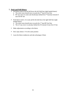#### **7. Push and Pull Hitters**

- Pull hitters tend to hit the ball down the left field line (right handed batter)
	- $\circ$  The entire team should move towards the 3<sup>rd</sup> base/LF foul line
	- o RF may move in some and should play behind the  $2<sup>nd</sup>$  baseman instead of near the RF line
- **Push hitters tend to be weak and hit the ball down the right field line (right)** handed batter)
	- $\circ$  The entire team should move towards the 1<sup>st</sup> base/RF foul line
	- o The LF may move in and play behind the SS instead of near the LF line
- Make adjustments according to the hitters
- Don't play batters 1-9 in the same position
- **Learn the hitters tendencies and take advantage of them**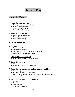# **Outfield Play**

## **Outfielder Must . . .**

#### **1. Know the opposing team**

- Do they slap and who are their slappers
- What players hit with power
- What players push the ball
- Do they like to bunt, steal, hit and run etc.

#### **2. Know your own team**

- Know other outfielders range
- Know other outfielders arms
- Know infielders range

#### **3. Hit the cutoff/relay**

#### **4. Back Up**

- Never get too close
- Always move laterally
- Get in line with where the throw is coming from
- Anticipate the second play or back up

#### **5. Communicate and Back Up**

 $\blacksquare$  Both with the infielders and the outfielders

#### **6. Know the Situation**

- Where the runners are
- Where the plays will probably be made

#### **7. Know the playing facilities and the playing conditions**

- Grass long or short, wet or dry
- Weather conditions sunny, windy etc.
- Dimensions of the field distance between foul and out of play, fence, sprinklers, holes etc.

#### **8. Important Qualities for an Outfielder**

- Accurate arm
- Quick feet
- Good judgment
- Confident and disciplined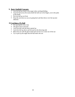#### **9. Basic Outfield Concepts**

- $\blacksquare$  Line the ball up, body to the target when catching/fielding
- Grip the ball across the seams (hold the ball out in the fingers, not in the palm of the hand)
- Pick the ball up out front
- Drop the arm down as you are going back and then throw over the top (not sidearm)

### **10.Catching a Fly Ball**

- $\overline{\phantom{a}}$  Set up properly every time
- $\blacksquare$  The glove foot is forward
- Catch the ball with the body opened up
- Catch the ball up above and forward on the throwing side
- Block the sun with the glove hand and wait for it to come out of the sun
- Try to pick up the angle that the ball enters the sun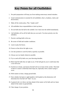## **Key Points for all Outfielders**

- 1. Pre-pitch preparation will keep you from making unnecessary mental mistakes.
- 2. Good communication is essential for all outfielders; that is, loudness, clarity and decisiveness.
- 3. Make all the routine plays. Play "simple catch".
- 4. All outfielders have responsibilities to back up bases.
- 5. Do not hold onto the ball in the outfield. Get it back into the infield immediately.
- 6. Call infielders off on all fly balls that you can reach. You have priority over the infielders.
- 7. Practice catching balls in the sun.
- 8. Be aware of field and weather conditions.
- 9. Learn to play the fences.
- 10. Freeze on line drives hit right at you.
- 11. Get into position to catch fly balls as quickly as possible.
- 12. Always use two hands whenever possible.
- 13. Try to catch all fly balls over your throwing shoulder.
- 14. Block hard hit balls that are right at you. If the ball gets by you it could mean that a run will score.
- 15. On throws to home, one bounce the ball well out in front of the catcher. This kind of throw is easier to field than short hops are, especially with a runner trying to score.
- 16. With runners on base, charge ground balls.
- 17. Note whether the batter is right handed or left handed as this distinction will determine how the ball will "fade" on you.
- 18. A general rule is to throw one base ahead of the runner on fly balls and two bases ahead of the runner on ground balls.
- 19. Take charge of your position.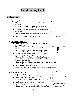# **Conditioning Drills**

## **Skills & Drills**

### **1. Rabbit Drill**

- Line the team up in a circle around the diamond; fastest to slowest
- On the coach's signal, each player takes off running trying to catch the person in front of them
- When a player is caught from behind she must drop out of the race
- The rest of the group continues until one player is left or there is a stalemate
- $\blacksquare$  The coach can change directions at any time

### **2. Up, Back, Side to Side**

- Players line up side by side along the foul line with the coach facing them
- The coach holds a ball up in her hand; the players mirror the ball
- The coach pulls the ball back towards her while players move forward quickly while calling "I got it" or "mine"
- When the coach calls "ball" the players fake a catch, plant their feet and fake a throw
- The coach then moves the ball away from her, the players pivot and run back. Again the coach says "ball" and the players do the same thing
- The coach then moves the ball to the right, players sprint to their left (mirror) and the same thing occurs
- Repeat the above to the opposite side
- Repeat entire drill everyone must call for the ball and move quickly

### **3. PCC 30 Second Drill**

- $\blacksquare$  5 players per group
- **1** player lines up on each base and 2 line up at home
- The  $1<sup>st</sup>$  player at home has the ball
- On the signal, the player with the ball at home throws it to  $1<sup>st</sup>$ ; she then runs to  $1<sup>st</sup>$
- The player at 1<sup>st</sup> receives the ball and throws it to  $2<sup>nd</sup>$ , she then runs to  $2<sup>nd</sup>$
- The player at  $2^{nd}$  receives the ball and throws it to  $3^{rd}$ , she then







*"Up, Back, Side to Side"*



*"PCC 30 Second Drill"*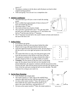runs to 3rd

- The players continue to do the above until all players are back in their original starting positions
- Time each group. You can use it as a competition also

#### **4. Infield Conditioner**

- The team lines up at SS (use a cone to mark the starting point)
- Place a rubber base approximately 10 feet in front of  $3<sup>rd</sup>$ base and outside the foul line
- One player plays  $3^{\text{rd}}$  base<br>• The coach at home has a
- The coach at home has a bucket of balls
- $\blacksquare$  The coach hits a ground ball to the 1<sup>st</sup> SS, she must field the ball, pivot and make a good throw to  $3<sup>rd</sup>$ ; she follows the ball to  $3^{rd}$  and becomes the new  $3^{rd}$  baseman
- The  $3^{rd}$  baseman runs the ball to the coach's bucket at home and returns to the end of the line at SS

#### **5. Indian Relay**

- $\blacksquare$  6 to 8 players per group
- Each group is lined up with one player behind the other
- **Players start to jog with equal distance between them**
- Upon the signal from the first person in line, the last player in the line moves out to the right and sprints to the front of the line
- The runner then slows to a jog, once that person gets to the front the last person in line sprints to the front of the line
- The sequence continues for as long as desired (for either a specific amount of time or a specific number of rounds)
- **Variation:** The first person in line has a ball. As the group jogs, the first player tosses the ball over her shoulder to the person behind her, the sequence continues until the last person in line receives the ball. After the last person receives the ball, she sprints to the front of the line and starts tossing the ball over her shoulder. The drill continues for as long as you want it to.

#### **6. Sprint Base Running**

- Line all players up at home plate
- The runner sprints to  $1<sup>st</sup>$  base, jogs to the outfield fence along the right field foul line, and then jogs back to  $1<sup>st</sup>$  base.
- As soon as the runner touches  $1<sup>st</sup>$  base, she sprints to  $2<sup>nd</sup>$ base (while the next runner from home sprints to  $1<sup>st</sup>$ ) jogs to the center field fence, and jogs back to  $2<sup>nd</sup>$
- As soon as the runner touches  $2<sup>nd</sup>$  base, the runner sprints to







*"Infield Conditioner"*

C

3rd

X X X SS

*"Indian Relay"*

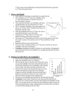$3<sup>rd</sup>$  base, jogs to the outfield fence along the left field foul line, jogs back to 3rd base and sprints home

#### **7. Throw and Hustle**

- Start with five outfielders in right field in a single file line
- Two infielders are at  $2<sup>nd</sup>$  base, two infielders are at 3<sup>rd</sup> base and one player is with the coach at or near the pitcher's mound
- The coach hits fly balls to an outfielder, who then catches the ball, sets up and throws to  $2<sup>nd</sup>$  base
- $\blacksquare$  The 2<sup>nd</sup> baseman simulates a tag, then squares and throws to  $3<sup>rd</sup>$  base. The  $3<sup>rd</sup>$  baseman then throws to the player near the coach
- After the outfielder throws to  $2<sup>nd</sup>$  base, she runs to centerfield and starts a new line there
- The person at  $2^{nd}$  base, throws to  $3^{rd}$  base and follows her throw and is now at the base



*"Throw and Hustle"*

 $\blacksquare$  The person at 3<sup>rd</sup> base follows her throw to the catcher and now becomes the coach's catcher. The catcher runs to  $2<sup>nd</sup>$  base and fills in at that position

- Repeat the drill in center and left field
- As soon as the  $2^{nd}$  baseman throws to  $3^{rd}$  base the coach hits to the next outfielder. The drill is continuous
- **Variation:** changing the number of players at each position. Changing the type of ball that is hit to the outfielder, for example ground balls, fly balls, line drives etc.

### **8. Picking Up balls Hit by the Outfielders**

- Use 5 cones or markers and 4 balls per group
- $\blacksquare$  Split your outfielders into 2 or 3 groups
- The first player starts at the first cone. When the coach says go the outfielder runs back to the first ball, picks it up correctly and throws it to an infielder, who is acting as her catcher. She then runs back to the first cone
- She then runs back to the second ball, throws it to her catcher and runs back to the first cone. The drill continues until the outfielder picks up the ball that is farthest away from her, throws it to her catcher and then runs all the way back to her starting cone



The next set of outfielders get the balls set up and repeat the drill

**Variations:** If they make a bad throw they must start the drill all over again. Use it as a relay contest, you may also include your infielders in this drill. You can also set up 4 or 5 bunts for the infielders/catchers to pick up. They must hustle back to their starting defensive position after each throw to a base before picking up the next bunt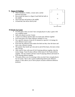#### **9. Figure 8 Fielding**

- There should be a fielder, a tosser and a catcher between each base
- Run around the bases in a figure 8 and field the balls in the middle
- I Jog to the base and spring to the middle
- Ground ball, line drives and fly ball



#### **10.Work Up Game**

- Use this game when you don't have enough players to play a game with two complete teams
- $\blacksquare$  Split your players up into 3 teams
- $\blacksquare$  1 team is on offense and the other two teams play defense together
- Each team plays all of their offensive innings in a row
- Set a specific amount of time  $(8-10 \text{ minutes})$  or specific # of innings for each offensive team to play
- Each time the offensive team makes the third out they clear the bases and start a new offensive inning
- The quicker they hustle up to bat and on and off the bases, the more at bats they will get
- After team #1 bats with team #2  $\&$  #3 playing defense together, then the teams change. Team #2 plays offense while teams #1 & #3 play defense together. The last rotation will have team #3 playing offense and teams #1 & #2 playing defense together
- This game allows you to scrimmage when you don't have enough players for two teams. This is also a good conditioning drill for the offensive players. It also allows you to move players around in different defensive positions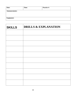| Date:                 | Time: | <b>Practice #:</b> |
|-----------------------|-------|--------------------|
| <b>Announcements:</b> |       |                    |
| Equipment:            |       |                    |

| <b>SKILLS</b> | <b>DRILLS &amp; EXPLANATION</b> |
|---------------|---------------------------------|
|               |                                 |
|               |                                 |
|               |                                 |
|               |                                 |
|               |                                 |
|               |                                 |
|               |                                 |
|               |                                 |
|               |                                 |
|               |                                 |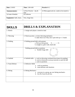| <b>Date:</b> 2/10/03            | <b>Time:</b> $2:00-4:00$    | <b>Practice #: 2</b>                         |
|---------------------------------|-----------------------------|----------------------------------------------|
|                                 |                             |                                              |
| Announcements:                  | 1) Next Practice – day $\&$ | 2) What paperwork etc. needs to be turned in |
|                                 | time                        |                                              |
| 3) Game Schedule                | 4) Uniforms                 |                                              |
|                                 |                             |                                              |
| <b>Equipment:</b> balls, bases, | Tees, fungo bats            |                                              |
|                                 |                             |                                              |

| <b>SKILLS</b>   | <b>DRILLS &amp; EXPLANATION</b>                                                                                                                                  |
|-----------------|------------------------------------------------------------------------------------------------------------------------------------------------------------------|
| 1. Stretch      | 1. Assign each player a stretch to lead                                                                                                                          |
| 2. Throwing     | 2. Warm up arms: a. review throwing mechanics<br>b. make them run if they don't pick ball up $w/2$ hands                                                         |
| 3. Fielding     | 3. Fielding ground balls with partners<br>a. Pick up with partner $X$ - - - - - - > X<br>b. straight on, glove side, hand side                                   |
|                 | Fielding ground balls at positions<br>a. Double Fungo drill<br>H <sub>2</sub> X <sub>2</sub>                                                                     |
| 4. Outfield     | 4. Outfield skills – a. work on throwing overhand (from knees $&$ standing)<br>b. work on footwork to set-up correctly to catch fly ball<br>c. work on positions |
| 5. Team Defense | 5. Defensive Skills<br>a. work on positions<br>b. team defenses and situations                                                                                   |
| 6. Hitting      | 6. Hitting Mechanics<br>everyone in a group, go over hitting mechanics<br>a.<br>b. hit off of tees $&$ soft toss                                                 |
|                 |                                                                                                                                                                  |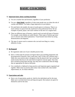# **BASIC COACHING**

#### **1) Important basics about coaching (teaching)**

- a) You are a teacher first and foremost, regardless of your profession.
- b) You are a **Role Model**, regardless of what some people may say about the role of coaches and athletes. You make a huge impression on your players.
- c) We need better role models; the state of youth sports is in disarray. There is so much violence in sports from the youth level to the professional level. We see examples of parent, player, and coach violence in the news on a regular basis.
- d) There are different types of learners, a good coach can teach all types of learners. For example, some students are audio learners. These types of learners get more out of a lectures and verbal explanations. Visual learners learn better by seeing demonstrations and diagrams.
- e) The sign of a great coach is someone who can teach one thing in a variety different of ways.

#### **2) Be Prepared**

- a) Be organized; make use of your valuable practice time.
- b) Have a written plan for practice; be logical about your teaching progression and the progression of practice. Don't teach step 2 and 3 if they can't perform step 1. Make sure your practice plan is designed so that the players don't get warmed up, stand around, then have to do some kind of explosive exercise again. Once they have warmed up keep them moving, once they have cooled down then do things that are appropriate for them at that point.
- c) Get a notebook or clipboard to keep practices and important papers organized and together. Make notes on practice plans about what worked well, what needed improvement, etc. for future reference.

#### **3) Expectations and rules**

a) Have a set of expectations, goals etc. both for the individuals and for the team. Make sure to set both short term and long term goals. Have players set goals for themselves and for the team.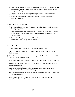- b) Have a set of rules and penalties; make sure you can live with them. How will you handle players missing practice, being late, cursing etc. Make sure the players clearly understand your rules.
- c) Only make rules that are very important to you and the success of the team.
- d) Follow the rules yourself. If you don't allow the players to curse then you shouldn't curse either.

#### **4) Don't try to do it all yourself**

- a) Try to get others to help you, if you don't you will get burned out from trying to do everything yourself.
- b) If you have money to hire someone great if not try to get volunteers. Ask parents, older players or ex players, etc. Make sure they are clear of their roles and responsibilities.
- c) Get people to help you with on the field stuff such as practice, and off the field stuff such as fundraising, paperwork, finances etc.

#### **BASIC SKILLS**

- 1) Throwing is the most important skill in softball, regardless of age.
- 2) Don't tell any player, boy or girl, that they "throw like a girl", this is an old stereotype that is an insult.
- 3) Things have changed over the years, but some girls still throw "incorrectly" not "like a girl". Make sure to correct them.
- 4) When teaching any skill, make sure to explain, demonstrate and then have them try it.
- 5) Isolate skills and then put them back together. Don't be afraid to go back to basics when things go wrong.
- 6) After you have taught them the skills, you must continue to emphasize proper mechanics. Don't let them get lazy and sloppy.
- 7) When teaching a specific skill, try to make it fun and challenging. Find as many ways as you can to teach a skill.
- 8) Make sure the players have the proper equipment. The equipment should be appropriate for their age, size, and skill level.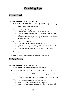# **Coaching Tips**

## **1 st Base Coach**

#### **Verbal Cues to the Batter/Base Runner**

- If the ball is hit or bunted to an infielder: **"Through the Bag"**
	- $\circ$  Runner runs to 1<sup>st</sup> base, running outside the field and leans through the bag at  $1<sup>st</sup>$  base, don't jump or lunge
- On a single: **"Round the Bag"**
	- $\circ$  Runner rounds 1<sup>st</sup> base taking a lead, looks at the ball
	- o If the outfielder fumbles the ball or the ball gets by her, the runner goes
	- $\circ$  If the outfielder makes a good pick up and throws to  $2<sup>nd</sup>$ , the runner gets back to 1<sup>st</sup> base
- On a double or more: **"2, 2, 2"**
	- $\circ$  The runner goes directly to  $2<sup>nd</sup>$  without hesitation
	- $\circ$  The runner needs to make a good turn at 1<sup>st</sup> so that her hips are facing  $2<sup>nd</sup>$  base when she hits the bag at  $1<sup>st</sup>$
	- $\circ$  The runner picks up the 3<sup>rd</sup> base coach about 2/3 of the way to 2<sup>nd</sup>
- Relay signals to the runner at  $1<sup>st</sup>$  base
- Alert the runners to situations: # of outs, pick off attempts etc.

## **3 rd Base Coach**

#### **Verbal Cues to the Batter/Base Runner**

- This coach gives the signals for the offensive strategies
- The coach should pick up the runner just before she reaches  $2<sup>nd</sup>$  base
- This coach alerts runners at  $2^{nd}$  &  $3^{rd}$  to the situation: tag up, run, suicides etc.
- The coach should change their position in the coaching box according to the play:
	- $\sim$  Face oncoming runner if she is to stop at 3<sup>rd</sup> base
	- o Point to the bag if you want the runner to stand up
	- o Get down on one knee and tell her to hit it if you want her to slide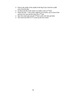- o Point to the inside or the outside of the bag if you want her to slide away from the play
- $\circ$  Go down the line if the runner is to make a turn at 3<sup>rd</sup> base
- o Watch the ball if the runner might be out at home, stay in front of her and have her stop and dive back into  $3<sup>rd</sup>$  base
- $\circ$  Once the runner gets past the 3<sup>rd</sup> base coach, she must go home
- $\circ$  The coach runs back to 3<sup>rd</sup> to pick up the next runner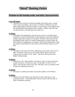## **"Ideal" Batting Order**

## **Position in the batting order and their characteristics**

#### **Lead Off batter**

 This batter runs well, has excellent knowledge of the strike zone, is a good bunter and has the ability to get on base in a number of different ways and makes things happen. This type of player can put pressure on the defense from the opening pitch of the ball game and is usually a "singles" type hitter that can spray the ball to all fields and rarely strikes out.

#### **#2 Hitter**

 Preferably a left handed player, this batter runs well, is an excellent bunter, has good bat control with the ability to make productive outs (executing) and exhibits a great deal of patience at the plate. This batter often ends up in the hole (behind in the count), as a result of taking strikes, in order to allow the lead off hitter the opportunity to steal bases. Having a left handed hitter in this spot makes it more difficult for the catcher to throw the base stealer out at  $2^{nd}$ base.

#### **#3 Hitter**

This player is the team's best hitter, although not as powerful as the  $#4$  or  $#5$ hitter. This player is the one you want at bat with the "game on the line" – someone who can deliver in the "clutch". This hitter often has the team's highest batting average.

#### **#4 Hitter**

Referred to as the "clean up hitter", this player's job is to clean up the bases, usually with power. The first two hitters "set the table" for the #3, 4  $\&$  5 hitters, who clean up or drive in the runs. This hitter is not as consistent as the #3 hitter, but exhibits more power.

#### **#5 Hitter**

This player is another power hitter with similar qualities as the #4 hitter.

#### **#6 Hitter**

 Similar to the lead off hitter, this individual is often called upon to "get something started". A left handed batter with more power than the lead off hitter is sometimes used here.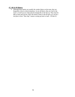### **#7, #8 & #9 Hitters**

Although these batters are usually the weaker hitters on the team, they are frequently at bat in critical situations. As are all hitters, they are vital to the team's overall success when placed strategically in the line up. They must be able to bunt and execute. Place the fastest runner in the #9 spot as it can be a real plus to have "blue chip" runners coming up back to back - #9 then #1.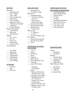Mechanics **New SITUATIONS** (CONTINUED) Short Stride \* Stay Low Points to Remember 1<sup>st</sup> Base Coach Line of Force Home to 2nd \_\_\_\_ Quick Bat \_\_\_\_ "2" Stand Up \_\_\_\_ Stay Relaxed \_\_\_\_ "2" Hit it Tees – Fence \_\_\_\_ Weighted Bat \_\_\_\_ Score \_\_\_\_ Maximum Effort Tee/Swing Rite *OTHER BASE RUNNING* 

Letting a Bat a Letting a Bat and Dive Back to Bag and Touching the Bases \_\_\_\_ Grip - Finger Home to 1st \_\_\_\_ Steals, Double Steals  $\frac{1}{\sqrt{2}}$  Through the Bag  $\frac{1}{\sqrt{2}}$  Delayed Steals The Pivot on Back Foot \* Get Out of the Box The Pivot on Back Foot \* Get Out of the Box The 2<sup>nd</sup> Only Left Arm Pulls \* Stay in Lane Passed Ball/Wild Pitch Right Arm Throws \* Run thru the Bag Don't Run Into Tag \_\_\_\_ "Shoulder to Shoulder" \_\_\_\_ Round and Get Back \_\_\_\_ Full Count, 1 Out \_\_\_\_ Weight Back \_\_\_\_ Round and Dive Back \_\_\_\_ Full Count 2 Outs Follow Through Through Round and Go Game Situations  $\overline{\phantom{1}}$ Stations  $\overline{\phantom{1}}$ Pick up 3<sup>rd</sup> Base Coach  $2<sup>nd</sup>$  to Home \_\_\_\_ Self Toss \_\_\_\_ Stop and Find the Ball \_\_\_\_ Partner Toss \_\_\_\_ Round and Get Back

## *SITUATIONS TEAM OFFENSE*

97  $\frac{1}{3}$  Low Pitch  $\frac{1}{3}$  1<sup>st</sup> & 3<sup>rd</sup> Hitting Lacked Music High Pitch and Steals and Steals and Mechanics and Mechanics and Mechanics and Mechanics and Mechanics and Mechanics and Mechanics and Mechanics and Mechanics and Mechanics and Mechanics and Mechanics and Mech \_\_\_\_ Inside Pitch \_\_\_\_ Hit & Run \_\_\_\_ Situations \_\_\_\_\_ Outside Pitch \_\_\_\_\_\_ Bunts Bunting Bunting Bunting Bunting Bunting Bunting Bunting Bunting Bunting Bunting Bunting Bunting Bunting Bunting Bunting Bunting Bunting Bunting Bunting Bunting Bunting Bunting Bunting Bunti \_\_\_\_ Off Machine \_\_\_\_ Squeezes \_\_\_\_ Sacrifice Bunt \_\_\_\_ With Signals \_\_\_\_ Break up DP \_\_\_\_ Squeeze Bunt \_\_\_\_ Live Pitching \_\_\_\_ Dive Around the Tag \_\_\_\_ Drag Bunt \_\_\_\_ Lead Offs \_\_\_\_ Bunt & Run **SLAPPERS** Lead Off & Return Other Offensive Skills \_\_\_\_ Drag Bunt \* Standing \_\_\_\_ Hit & Run  $\frac{\text{Slap}}{\text{Hit Away}}$  \* Diving Back  $\frac{\text{Slap Bunt}}{\text{Rules}}$   $\frac{\text{Slap Bunt}}{\text{1st} \& \text{3}^{\text{rd}}}$ Hit Away **Rules Rules**  \* When the Pitcher has \_\_\_\_Special Plays The Ball in the Circle \* Running into an Infielder \* Making a Move/Turn at  $1<sup>st</sup>$  towards  $2<sup>nd</sup>$  \* Taking Your Lead in Foul Territory \* Running in the Base Path \* Making Contact w/ the 3<sup>rd</sup> Base Coach

## *HITTING BASE RUNNING OTHER BASE RUNNING*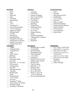Line Drives \_\_\_\_\_\_ Rick Offs<br>
Rise Cound Balls The Relays. Cound Balls  $\frac{1}{\sqrt{1-\lambda}}$  Pop Fly Responsibilities  $\frac{1}{\lambda}$  Intentional Walks  $\frac{1}{\lambda}$  St<sup>at</sup> Plays  $\frac{1}{\text{Signals}} \times \frac{3^{\text{rd}} \text{Stuations}}{3^{\text{trains}}}$   $\frac{1}{\text{Soor Dies}}$   $\frac{1}{\text{Soor Dies}}$   $\frac{1}{\text{Soor Slines}}$   $\frac{1}{\text{Soor Slines}}$ \_\_\_\_ Signals & Targets \_\_\_\_ Do or Dies \_\_\_\_ Game Situations \_\_\_\_ Cut Offs \_\_\_\_ Steals \_\_\_\_ Backing Up \_\_\_\_ Push & Pull Defense \_\_\_\_Charting Pitches \_\_\_\_ "Winning Run" Situation \_\_\_\_ Fielding-Slow Hit Balls \_\_\_\_ Pop Flies \_\_\_\_ Fielding-Bunts & Squeezes \_\_\_\_ Rundowns Fielding-Come backers Fielding-Double Plays *CATCHER OUTFIELD THROWING* \_\_\_\_ DP Footwork \_\_\_\_ Fielding Bunts  $\rule{1em}{0.15mm}$  Pop Flies  $\Box$  Blocking the Plate  $\frac{1}{\sqrt{2}}$  Tag Plays Double Steals \_\_\_\_ Steals<br> Delayed Steals  $\frac{1}{s}$  1<sup>st</sup> & 3<sup>rd</sup> Plays Foul Tips  $\frac{1}{\sqrt{2}}$  Swinging 3<sup>rd</sup> Strike \_\_\_\_ Throws from the Outfield \_\_\_\_ Pitching Strategy \_\_\_\_ Working w/ the Pitcher

Let not Rules and South Company and Tag Plays and South Company and South South States and South States and South States and South States and South States and South States and South States and South States and South States \_\_\_\_ Signs \_\_\_\_ Force Plays \_\_\_\_ Pop Flies Pitch Outs Fake & Go Behind Flies Between IF/OF Drop Flies to the Outfield Double Plays  $\Box$  Off Speed  $\Box$  Bunt Defenses  $\Box$  1<sup>st</sup> & 3<sup>rd</sup> Plays \_\_\_\_ Rise \_\_\_\_ Ground Balls \_\_\_\_ Relays, Cutoffs \_\_\_\_ Curve \_\_\_\_ Bad Hops \_\_\_\_ Push & Pull Defense \_\_\_\_ Delayed Steals \_\_\_\_ Squeeze Defense \_\_\_\_ Special Plays

| Targets                     | <b>Breaking Back on Balls</b>   | Give a Target w/ Both Hands  |
|-----------------------------|---------------------------------|------------------------------|
| <b>Framing Pitches</b>      | <b>Ground Balls</b>             | Follow Ball w/Your Eyes      |
| <b>Calling Pitches</b>      | <b>Bouncing Balls</b>           | Move Feet to the Ball        |
| <b>Signs</b>                | Rounding the Ball               | Grip Ball as you take it out |
| <b>Quick Throws</b>         | <b>Throwing Range</b>           | of your Glove                |
| <b>Bad Hops</b>             | <b>Lines Drives</b>             | Point Glove at Your Target   |
| <b>Pitch Outs</b>           | Long Runs                       | Pull Glove Down & Rotate     |
| <b>Intentional Walks</b>    | Playing the Ball in the Sun     | Shoulders                    |
| Pick Offs                   | Sliding Under the Ball          | Snap Wrist                   |
| Block Balls – R, L & Center | Diving Catch                    | Follow Through               |
| DP Footwork                 | Throw to Bases                  |                              |
| <b>Fielding Bunts</b>       | <b>QB</b> Drills w/ CF          |                              |
| Pop Flies                   | Playing it Safe                 |                              |
| <b>Blocking the Plate</b>   | Do or Die Catch                 |                              |
| Tag Plays                   | Do or Die Throw                 |                              |
| Double Steals               | Relays to SS & 2B               |                              |
| <b>Steals</b>               | -w/ $\&$ w/o Runners            |                              |
| <b>Delayed Steals</b>       | <b>Back up Responsibilities</b> |                              |

#### *PITCHER INFIELD TEAM DEFENSE*

\_\_\_\_ Covering H, 1st \_\_\_\_ Double Plays \_\_\_\_ Intentional Walk Defense

- 
- 
- 
- 
- Bad Hops The Lines Drives The Point Glove at Your Target
	- -
	-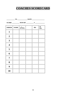# **COACHES SCORECARD**

|                         |                             | <u>US. DATE</u> |     |             |
|-------------------------|-----------------------------|-----------------|-----|-------------|
|                         |                             |                 |     |             |
|                         | ORDER $\ $ NAME $\ $ #/pos. |                 | PB- | SB-<br>SBA- |
| $\mathbf{1}$            |                             |                 |     |             |
| $\boldsymbol{2}$        |                             |                 |     |             |
| $\overline{\mathbf{3}}$ |                             |                 |     |             |
| $\overline{\mathbf{4}}$ |                             |                 |     |             |
| 5                       |                             |                 |     |             |
| 6                       |                             |                 |     |             |
| $\overline{7}$          |                             |                 |     |             |
| 8                       |                             |                 |     |             |
| 9                       |                             |                 |     |             |
| 10                      |                             |                 |     |             |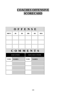# **COACHES OFFENSIVE SCORECARD**

| OFFENSE      |                  |    |             |                |            |  |  |  |
|--------------|------------------|----|-------------|----------------|------------|--|--|--|
| <b>RBI'S</b> | 2B               | 3B | <b>HR</b>   | SB             | <b>SBA</b> |  |  |  |
|              |                  |    |             |                |            |  |  |  |
|              |                  |    |             |                |            |  |  |  |
|              |                  |    |             |                |            |  |  |  |
|              | COMMENTS         |    |             |                |            |  |  |  |
|              | <b>EXECUTION</b> |    |             | NON EXECUTIONS |            |  |  |  |
| <b>TYPE</b>  | <b>NAMES</b>     |    | <b>TYPE</b> | <b>NAMES</b>   |            |  |  |  |
|              |                  |    |             |                |            |  |  |  |
|              |                  |    |             |                |            |  |  |  |
|              |                  |    |             |                |            |  |  |  |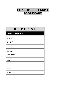# **COACHES DEFENSIVE SCORECARD**

|                                        | DEFENSE |  |  |  |  |
|----------------------------------------|---------|--|--|--|--|
| <b>THINGS TO PRACTICE</b>              |         |  |  |  |  |
| <b>Bunt Defenses:</b><br>Double Plays: |         |  |  |  |  |
| Backing Up:<br>Fly Balls:              |         |  |  |  |  |
| Relays:<br>Pitch Outs:                 |         |  |  |  |  |
| Pick offs:<br>Do or Dies:              |         |  |  |  |  |
| Calling for Balls:<br>Tricks:          |         |  |  |  |  |
| Catcher:<br>Hustle:                    |         |  |  |  |  |
| Outfield:                              |         |  |  |  |  |
| Infield:                               |         |  |  |  |  |
| Defense:                               |         |  |  |  |  |